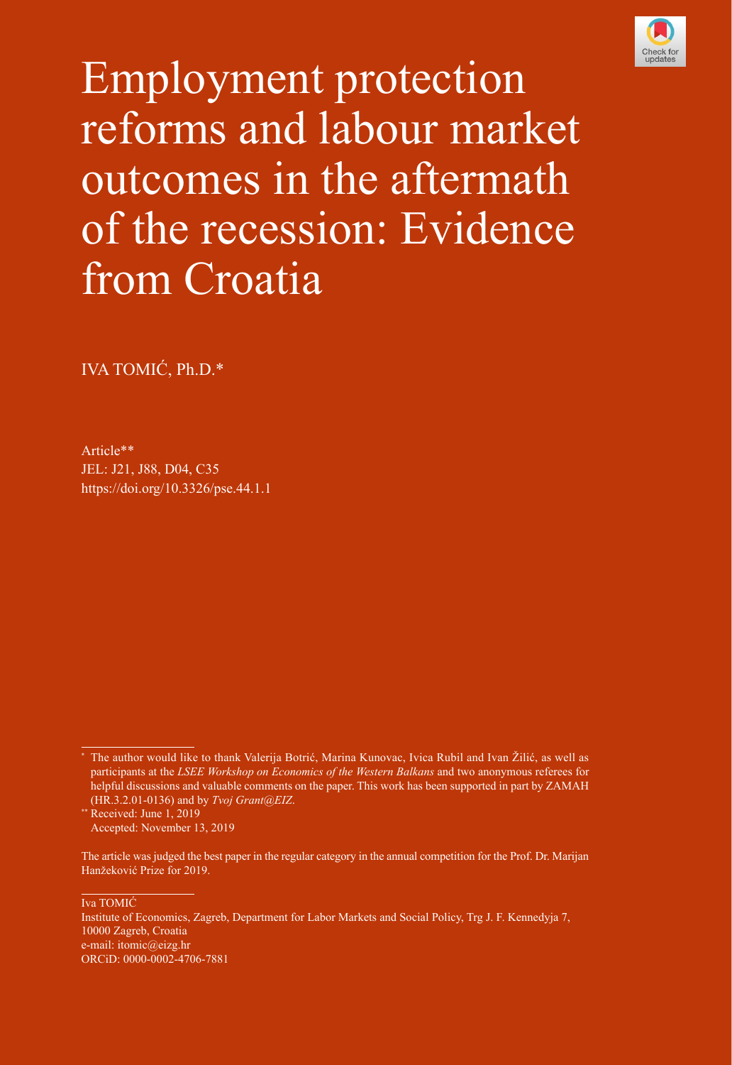

Employment protection reforms and labour market outcomes in the aftermath of the recession: Evidence from Croatia

IVA TOMIĆ, Ph.D.\*

Article\*\* [JEL](https://www.aeaweb.org/econlit/jelCodes.php?view=jel): J21, J88, D04, C35 [https://doi.org/10.3326/pse.44.1.](https://doi.org/10.3326/pse.44.1.1)1

Iva TOMIĆ

Institute of Economics, Zagreb, Department for Labor Markets and Social Policy, Trg J. F. Kennedyja 7, 10000 Zagreb, Croatia e-mail: [itomic@eizg.hr](mailto:itomic@eizg.hr)  [ORCiD:](https://orcid.org/) [0000-0002-4706-7881](https://orcid.org/0000-0002-4706-7881)

<sup>\*</sup> The author would like to thank Valerija Botrić, Marina Kunovac, Ivica Rubil and Ivan Žilić, as well as participants at the *LSEE Workshop on Economics of the Western Balkans* and two anonymous referees for helpful discussions and valuable comments on the paper. This work has been supported in part by ZAMAH (HR.3.2.01-0136) and by *Tvoj Grant@EIZ*.

<sup>\*\*</sup> Received: June 1, 2019 Accepted: November 13, 2019

The article was judged the best paper in the regular category in the annual competition for the [Prof. Dr. Marijan](http://zaklada.ijf.hr/eng/home-page/)  [Hanžeković Prize](http://zaklada.ijf.hr/eng/home-page/) for 2019.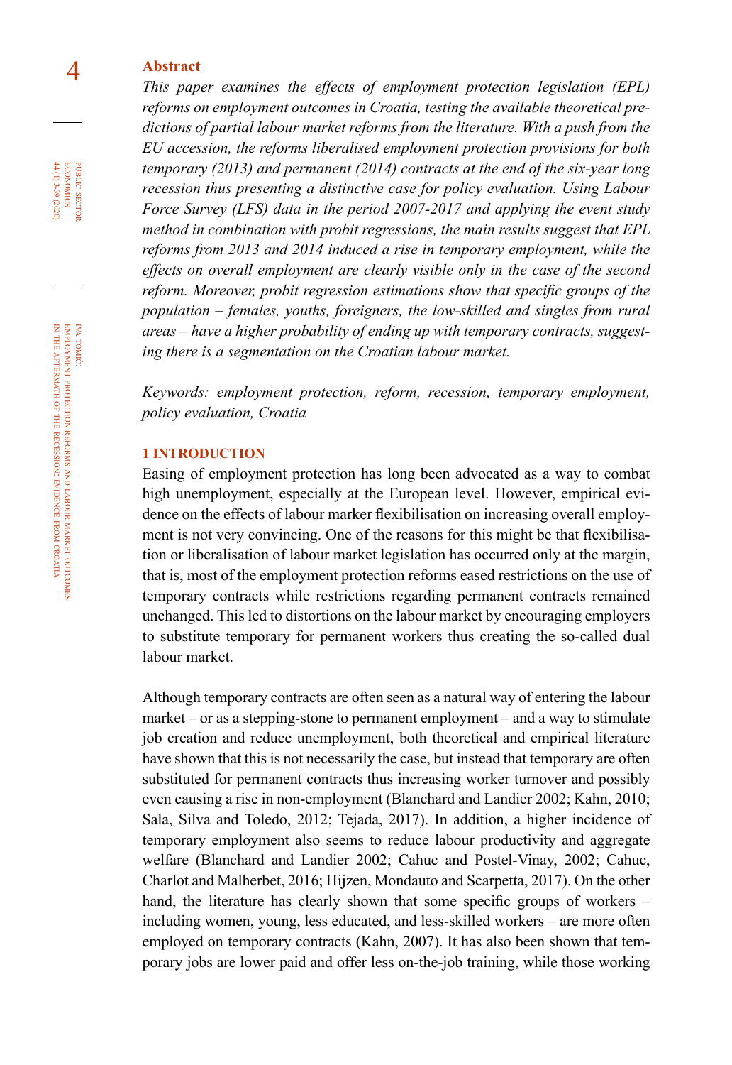### 4 **Abstract**

*This paper examines the effects of employment protection legislation (EPL) reforms on employment outcomes in Croatia, testing the available theoretical predictions of partial labour market reforms from the literature. With a push from the EU accession, the reforms liberalised employment protection provisions for both temporary (2013) and permanent (2014) contracts at the end of the six-year long recession thus presenting a distinctive case for policy evaluation. Using Labour Force Survey (LFS) data in the period 2007-2017 and applying the event study method in combination with probit regressions, the main results suggest that EPL reforms from 2013 and 2014 induced a rise in temporary employment, while the effects on overall employment are clearly visible only in the case of the second reform. Moreover, probit regression estimations show that specific groups of the population – females, youths, foreigners, the low-skilled and singles from rural areas – have a higher probability of ending up with temporary contracts, suggesting there is a segmentation on the Croatian labour market.* 

*Keywords: employment protection, reform, recession, temporary employment, policy evaluation, Croatia*

### **1 INTRODUCTION**

Easing of employment protection has long been advocated as a way to combat high unemployment, especially at the European level. However, empirical evidence on the effects of labour marker flexibilisation on increasing overall employment is not very convincing. One of the reasons for this might be that flexibilisation or liberalisation of labour market legislation has occurred only at the margin, that is, most of the employment protection reforms eased restrictions on the use of temporary contracts while restrictions regarding permanent contracts remained unchanged. This led to distortions on the labour market by encouraging employers to substitute temporary for permanent workers thus creating the so-called dual labour market.

Although temporary contracts are often seen as a natural way of entering the labour market – or as a stepping-stone to permanent employment – and a way to stimulate job creation and reduce unemployment, both theoretical and empirical literature have shown that this is not necessarily the case, but instead that temporary are often substituted for permanent contracts thus increasing worker turnover and possibly even causing a rise in non-employment (Blanchard and Landier 2002; Kahn, 2010; Sala, Silva and Toledo, 2012; Tejada, 2017). In addition, a higher incidence of temporary employment also seems to reduce labour productivity and aggregate welfare (Blanchard and Landier 2002; Cahuc and Postel-Vinay, 2002; Cahuc, Charlot and Malherbet, 2016; Hijzen, Mondauto and Scarpetta, 2017). On the other hand, the literature has clearly shown that some specific groups of workers – including women, young, less educated, and less-skilled workers – are more often employed on temporary contracts (Kahn, 2007). It has also been shown that temporary jobs are lower paid and offer less on-the-job training, while those working

iva tomić: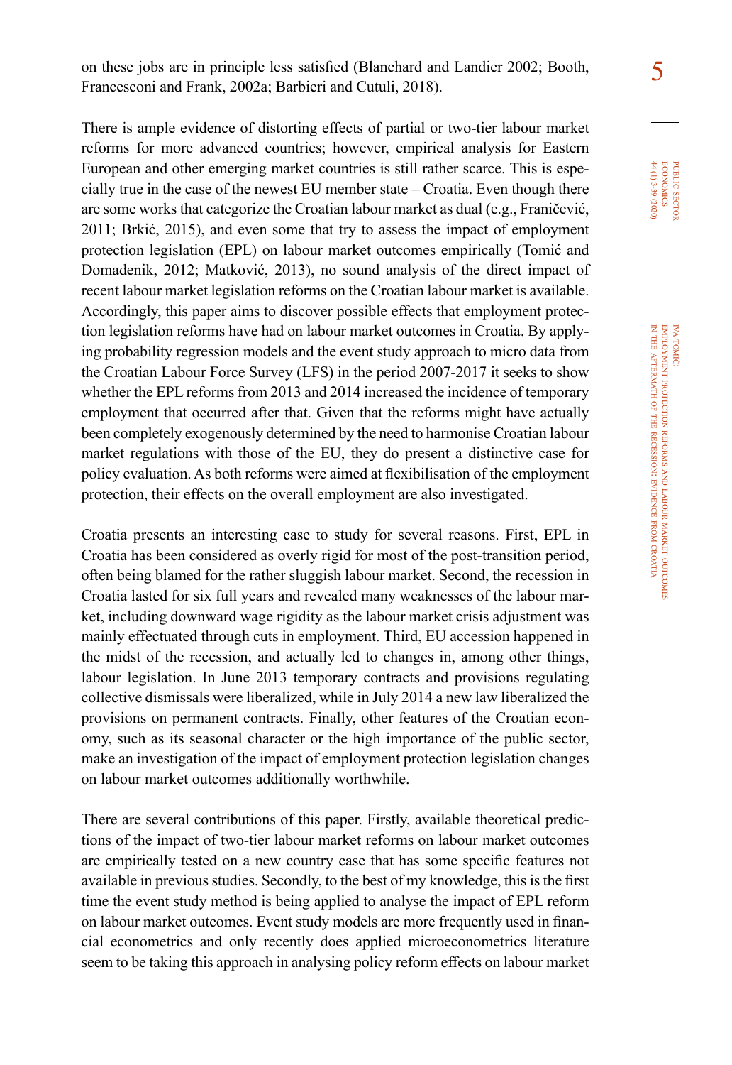5 on these jobs are in principle less satisfied (Blanchard and Landier 2002; Booth, Francesconi and Frank, 2002a; Barbieri and Cutuli, 2018).

There is ample evidence of distorting effects of partial or two-tier labour market reforms for more advanced countries; however, empirical analysis for Eastern European and other emerging market countries is still rather scarce. This is especially true in the case of the newest EU member state – Croatia. Even though there are some works that categorize the Croatian labour market as dual (e.g., Franičević, 2011; Brkić, 2015), and even some that try to assess the impact of employment protection legislation (EPL) on labour market outcomes empirically (Tomić and Domadenik, 2012; Matković, 2013), no sound analysis of the direct impact of recent labour market legislation reforms on the Croatian labour market is available. Accordingly, this paper aims to discover possible effects that employment protection legislation reforms have had on labour market outcomes in Croatia. By applying probability regression models and the event study approach to micro data from the Croatian Labour Force Survey (LFS) in the period 2007-2017 it seeks to show whether the EPL reforms from 2013 and 2014 increased the incidence of temporary employment that occurred after that. Given that the reforms might have actually been completely exogenously determined by the need to harmonise Croatian labour market regulations with those of the EU, they do present a distinctive case for policy evaluation. As both reforms were aimed at flexibilisation of the employment protection, their effects on the overall employment are also investigated.

Croatia presents an interesting case to study for several reasons. First, EPL in Croatia has been considered as overly rigid for most of the post-transition period, often being blamed for the rather sluggish labour market. Second, the recession in Croatia lasted for six full years and revealed many weaknesses of the labour market, including downward wage rigidity as the labour market crisis adjustment was mainly effectuated through cuts in employment. Third, EU accession happened in the midst of the recession, and actually led to changes in, among other things, labour legislation. In June 2013 temporary contracts and provisions regulating collective dismissals were liberalized, while in July 2014 a new law liberalized the provisions on permanent contracts. Finally, other features of the Croatian economy, such as its seasonal character or the high importance of the public sector, make an investigation of the impact of employment protection legislation changes on labour market outcomes additionally worthwhile.

There are several contributions of this paper. Firstly, available theoretical predictions of the impact of two-tier labour market reforms on labour market outcomes are empirically tested on a new country case that has some specific features not available in previous studies. Secondly, to the best of my knowledge, this is the first time the event study method is being applied to analyse the impact of EPL reform on labour market outcomes. Event study models are more frequently used in financial econometrics and only recently does applied microeconometrics literature seem to be taking this approach in analysing policy reform effects on labour market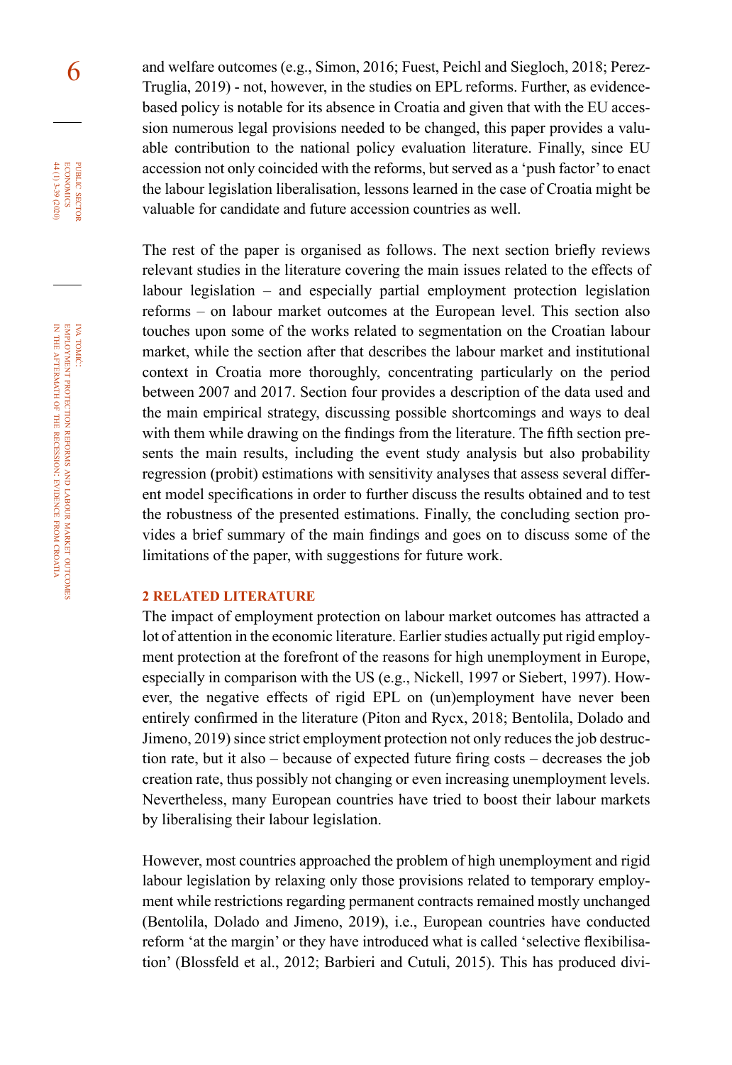6 and welfare outcomes (e.g., Simon, 2016; Fuest, Peichl and Siegloch, 2018; Perez-Truglia, 2019) - not, however, in the studies on EPL reforms. Further, as evidencebased policy is notable for its absence in Croatia and given that with the EU accession numerous legal provisions needed to be changed, this paper provides a valuable contribution to the national policy evaluation literature. Finally, since EU accession not only coincided with the reforms, but served as a 'push factor' to enact the labour legislation liberalisation, lessons learned in the case of Croatia might be valuable for candidate and future accession countries as well.

> The rest of the paper is organised as follows. The next section briefly reviews relevant studies in the literature covering the main issues related to the effects of labour legislation – and especially partial employment protection legislation reforms – on labour market outcomes at the European level. This section also touches upon some of the works related to segmentation on the Croatian labour market, while the section after that describes the labour market and institutional context in Croatia more thoroughly, concentrating particularly on the period between 2007 and 2017. Section four provides a description of the data used and the main empirical strategy, discussing possible shortcomings and ways to deal with them while drawing on the findings from the literature. The fifth section presents the main results, including the event study analysis but also probability regression (probit) estimations with sensitivity analyses that assess several different model specifications in order to further discuss the results obtained and to test the robustness of the presented estimations. Finally, the concluding section provides a brief summary of the main findings and goes on to discuss some of the limitations of the paper, with suggestions for future work.

### **2 RELATED LITERATURE**

The impact of employment protection on labour market outcomes has attracted a lot of attention in the economic literature. Earlier studies actually put rigid employment protection at the forefront of the reasons for high unemployment in Europe, especially in comparison with the US (e.g., Nickell, 1997 or Siebert, 1997). However, the negative effects of rigid EPL on (un)employment have never been entirely confirmed in the literature (Piton and Rycx, 2018; Bentolila, Dolado and Jimeno, 2019) since strict employment protection not only reduces the job destruction rate, but it also – because of expected future firing costs – decreases the job creation rate, thus possibly not changing or even increasing unemployment levels. Nevertheless, many European countries have tried to boost their labour markets by liberalising their labour legislation.

However, most countries approached the problem of high unemployment and rigid labour legislation by relaxing only those provisions related to temporary employment while restrictions regarding permanent contracts remained mostly unchanged (Bentolila, Dolado and Jimeno, 2019), i.e., European countries have conducted reform 'at the margin' or they have introduced what is called 'selective flexibilisation' (Blossfeld et al., 2012; Barbieri and Cutuli, 2015). This has produced divi-

iva tomić:

public

**ECONOMICS** PUBLIC SECTOR 44 (1) 3-39 (2020)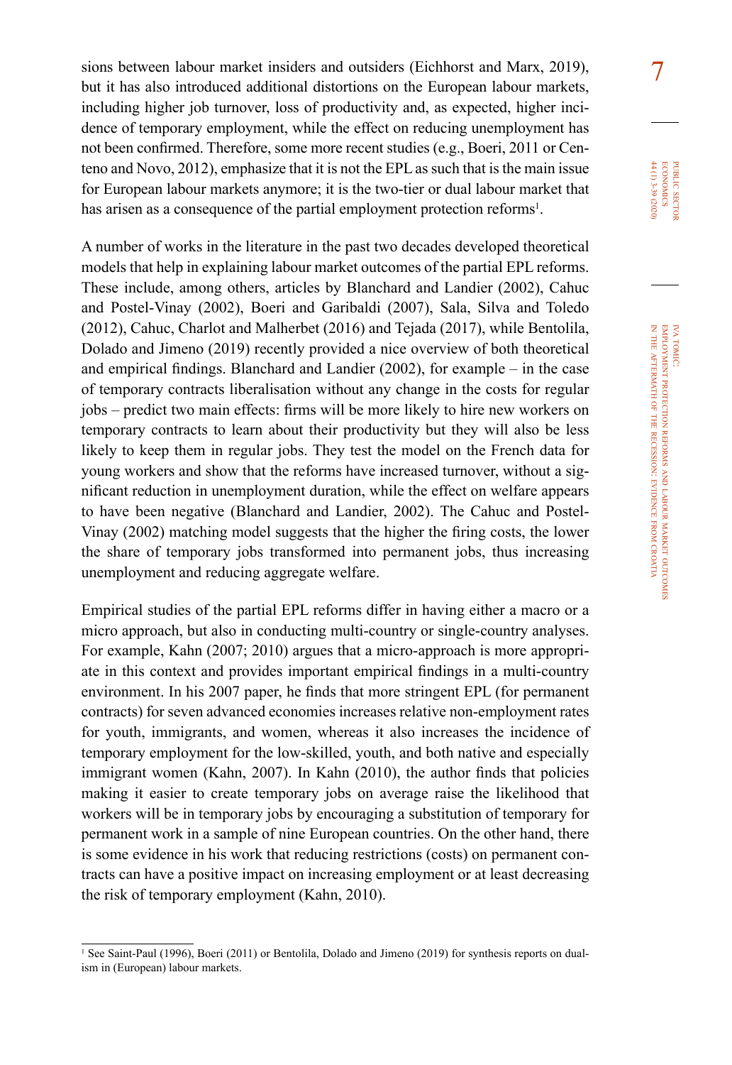sions between labour market insiders and outsiders (Eichhorst and Marx, 2019),  $\frac{7}{7}$ but it has also introduced additional distortions on the European labour markets, including higher job turnover, loss of productivity and, as expected, higher incidence of temporary employment, while the effect on reducing unemployment has not been confirmed. Therefore, some more recent studies (e.g., Boeri, 2011 or Centeno and Novo, 2012), emphasize that it is not the EPL as such that is the main issue for European labour markets anymore; it is the two-tier or dual labour market that has arisen as a consequence of the partial employment protection reforms<sup>1</sup>.

A number of works in the literature in the past two decades developed theoretical models that help in explaining labour market outcomes of the partial EPL reforms. These include, among others, articles by Blanchard and Landier (2002), Cahuc and Postel-Vinay (2002), Boeri and Garibaldi (2007), Sala, Silva and Toledo (2012), Cahuc, Charlot and Malherbet (2016) and Tejada (2017), while Bentolila, Dolado and Jimeno (2019) recently provided a nice overview of both theoretical and empirical findings. Blanchard and Landier (2002), for example – in the case of temporary contracts liberalisation without any change in the costs for regular jobs – predict two main effects: firms will be more likely to hire new workers on temporary contracts to learn about their productivity but they will also be less likely to keep them in regular jobs. They test the model on the French data for young workers and show that the reforms have increased turnover, without a significant reduction in unemployment duration, while the effect on welfare appears to have been negative (Blanchard and Landier, 2002). The Cahuc and Postel-Vinay (2002) matching model suggests that the higher the firing costs, the lower the share of temporary jobs transformed into permanent jobs, thus increasing unemployment and reducing aggregate welfare.

Empirical studies of the partial EPL reforms differ in having either a macro or a micro approach, but also in conducting multi-country or single-country analyses. For example, Kahn (2007; 2010) argues that a micro-approach is more appropriate in this context and provides important empirical findings in a multi-country environment. In his 2007 paper, he finds that more stringent EPL (for permanent contracts) for seven advanced economies increases relative non-employment rates for youth, immigrants, and women, whereas it also increases the incidence of temporary employment for the low-skilled, youth, and both native and especially immigrant women (Kahn, 2007). In Kahn (2010), the author finds that policies making it easier to create temporary jobs on average raise the likelihood that workers will be in temporary jobs by encouraging a substitution of temporary for permanent work in a sample of nine European countries. On the other hand, there is some evidence in his work that reducing restrictions (costs) on permanent contracts can have a positive impact on increasing employment or at least decreasing the risk of temporary employment (Kahn, 2010).

public

 $44(1)$  3-39 (2020) **ECONOMICS** PUBLIC SECTO

<sup>&</sup>lt;sup>1</sup> See Saint-Paul (1996), Boeri (2011) or Bentolila, Dolado and Jimeno (2019) for synthesis reports on dualism in (European) labour markets.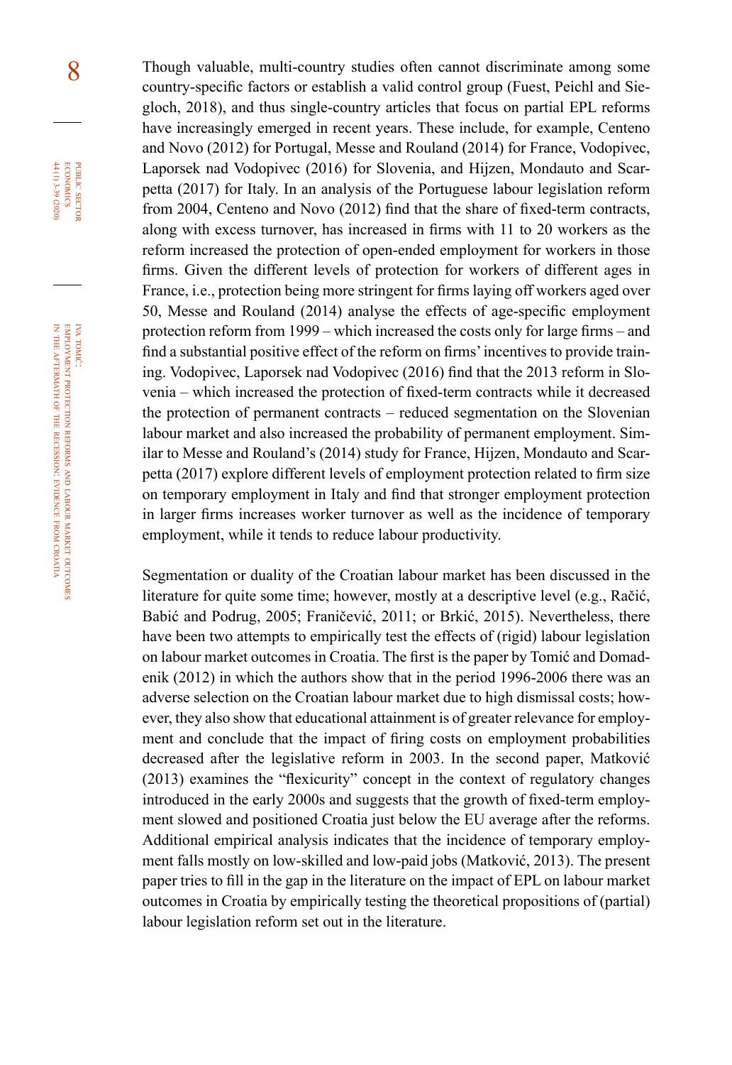8 Though valuable, multi-country studies often cannot discriminate among some country-specific factors or establish a valid control group (Fuest, Peichl and Siegloch, 2018), and thus single-country articles that focus on partial EPL reforms have increasingly emerged in recent years. These include, for example, Centeno and Novo (2012) for Portugal, Messe and Rouland (2014) for France, Vodopivec, Laporsek nad Vodopivec (2016) for Slovenia, and Hijzen, Mondauto and Scarpetta (2017) for Italy. In an analysis of the Portuguese labour legislation reform from 2004, Centeno and Novo (2012) find that the share of fixed-term contracts, along with excess turnover, has increased in firms with 11 to 20 workers as the reform increased the protection of open-ended employment for workers in those firms. Given the different levels of protection for workers of different ages in France, i.e., protection being more stringent for firms laying off workers aged over 50, Messe and Rouland (2014) analyse the effects of age-specific employment protection reform from 1999 – which increased the costs only for large firms – and find a substantial positive effect of the reform on firms' incentives to provide training. Vodopivec, Laporsek nad Vodopivec (2016) find that the 2013 reform in Slovenia – which increased the protection of fixed-term contracts while it decreased the protection of permanent contracts – reduced segmentation on the Slovenian labour market and also increased the probability of permanent employment. Similar to Messe and Rouland's (2014) study for France, Hijzen, Mondauto and Scarpetta (2017) explore different levels of employment protection related to firm size on temporary employment in Italy and find that stronger employment protection in larger firms increases worker turnover as well as the incidence of temporary employment, while it tends to reduce labour productivity.

> Segmentation or duality of the Croatian labour market has been discussed in the literature for quite some time; however, mostly at a descriptive level (e.g., Račić, Babić and Podrug, 2005; Franičević, 2011; or Brkić, 2015). Nevertheless, there have been two attempts to empirically test the effects of (rigid) labour legislation on labour market outcomes in Croatia. The first is the paper by Tomić and Domadenik (2012) in which the authors show that in the period 1996-2006 there was an adverse selection on the Croatian labour market due to high dismissal costs; however, they also show that educational attainment is of greater relevance for employment and conclude that the impact of firing costs on employment probabilities decreased after the legislative reform in 2003. In the second paper, Matković (2013) examines the "flexicurity" concept in the context of regulatory changes introduced in the early 2000s and suggests that the growth of fixed-term employment slowed and positioned Croatia just below the EU average after the reforms. Additional empirical analysis indicates that the incidence of temporary employment falls mostly on low-skilled and low-paid jobs (Matković, 2013). The present paper tries to fill in the gap in the literature on the impact of EPL on labour market outcomes in Croatia by empirically testing the theoretical propositions of (partial) labour legislation reform set out in the literature.

outcomes

iva tomić:

public

**ECONOMICS** PUBLIC SECTOR 44 (1) 3-39 (2020)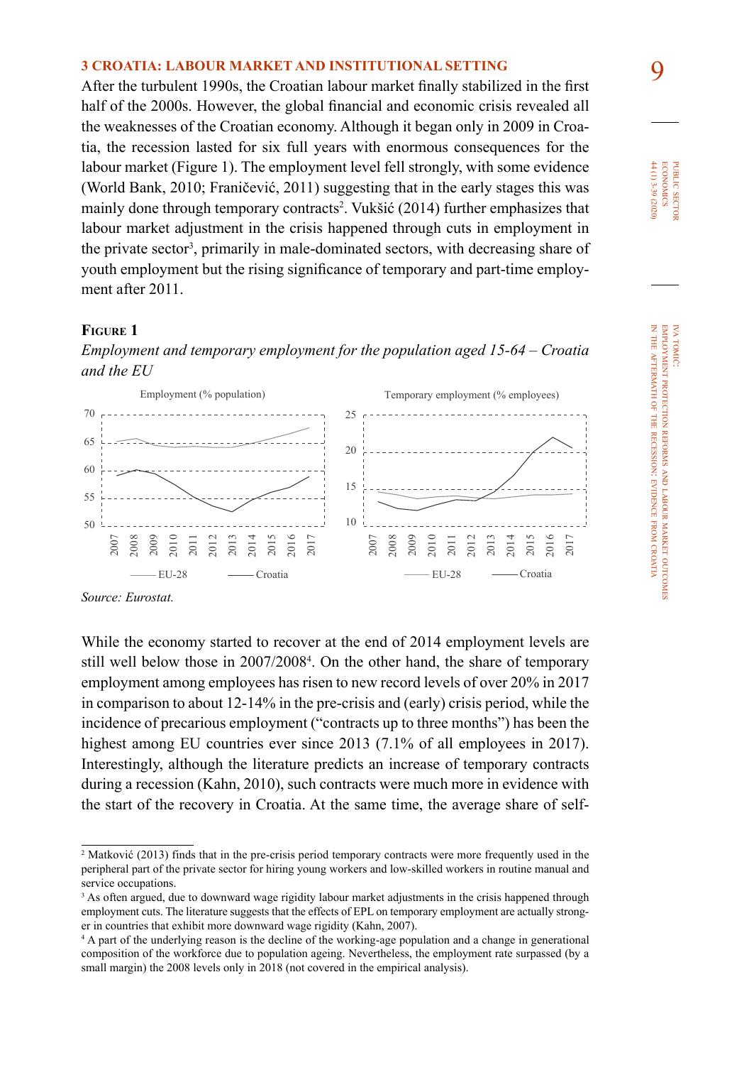9 **3 CROATIA: LABOUR MARKET AND INSTITUTIONAL SETTING**  After the turbulent 1990s, the Croatian labour market finally stabilized in the first half of the 2000s. However, the global financial and economic crisis revealed all the weaknesses of the Croatian economy. Although it began only in 2009 in Croatia, the recession lasted for six full years with enormous consequences for the labour market (Figure 1). The employment level fell strongly, with some evidence (World Bank, 2010; Franičević, 2011) suggesting that in the early stages this was mainly done through temporary contracts<sup>2</sup>. Vukšić (2014) further emphasizes that labour market adjustment in the crisis happened through cuts in employment in the private sector<sup>3</sup>, primarily in male-dominated sectors, with decreasing share of youth employment but the rising significance of temporary and part-time employment after 2011.

### **Figure 1**

*Employment and temporary employment for the population aged 15-64 – Croatia and the EU*



*Source: Eurostat.*

While the economy started to recover at the end of 2014 employment levels are still well below those in 2007/2008<sup>4</sup>. On the other hand, the share of temporary employment among employees has risen to new record levels of over 20% in 2017 in comparison to about 12-14% in the pre-crisis and (early) crisis period, while the incidence of precarious employment ("contracts up to three months") has been the highest among EU countries ever since 2013 (7.1% of all employees in 2017). Interestingly, although the literature predicts an increase of temporary contracts during a recession (Kahn, 2010), such contracts were much more in evidence with the start of the recovery in Croatia. At the same time, the average share of self-

<sup>&</sup>lt;sup>2</sup> Matković (2013) finds that in the pre-crisis period temporary contracts were more frequently used in the peripheral part of the private sector for hiring young workers and low-skilled workers in routine manual and service occupations.

<sup>&</sup>lt;sup>3</sup> As often argued, due to downward wage rigidity labour market adjustments in the crisis happened through employment cuts. The literature suggests that the effects of EPL on temporary employment are actually stronger in countries that exhibit more downward wage rigidity (Kahn, 2007).

<sup>4</sup> A part of the underlying reason is the decline of the working-age population and a change in generational composition of the workforce due to population ageing. Nevertheless, the employment rate surpassed (by a small margin) the 2008 levels only in 2018 (not covered in the empirical analysis).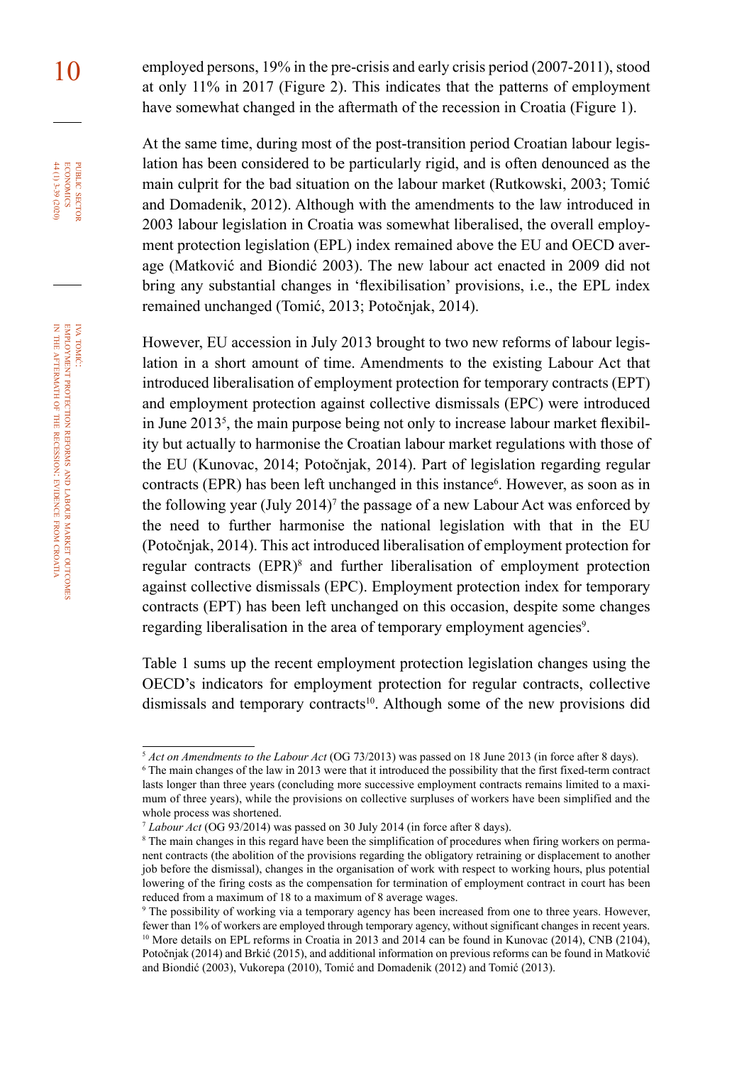1<sup>0</sup> employed persons, 19% in the pre-crisis and early crisis period (2007-2011), stood at only 11% in 2017 (Figure 2). This indicates that the patterns of employment have somewhat changed in the aftermath of the recession in Croatia (Figure 1).

> At the same time, during most of the post-transition period Croatian labour legislation has been considered to be particularly rigid, and is often denounced as the main culprit for the bad situation on the labour market (Rutkowski, 2003; Tomić and Domadenik, 2012). Although with the amendments to the law introduced in 2003 labour legislation in Croatia was somewhat liberalised, the overall employment protection legislation (EPL) index remained above the EU and OECD average (Matković and Biondić 2003). The new labour act enacted in 2009 did not bring any substantial changes in 'flexibilisation' provisions, i.e., the EPL index remained unchanged (Tomić, 2013; Potočnjak, 2014).

> However, EU accession in July 2013 brought to two new reforms of labour legislation in a short amount of time. Amendments to the existing Labour Act that introduced liberalisation of employment protection for temporary contracts (EPT) and employment protection against collective dismissals (EPC) were introduced in June  $2013<sup>5</sup>$ , the main purpose being not only to increase labour market flexibility but actually to harmonise the Croatian labour market regulations with those of the EU (Kunovac, 2014; Potočnjak, 2014). Part of legislation regarding regular contracts (EPR) has been left unchanged in this instance<sup>6</sup>. However, as soon as in the following year (July 2014)<sup>7</sup> the passage of a new Labour Act was enforced by the need to further harmonise the national legislation with that in the EU (Potočnjak, 2014). This act introduced liberalisation of employment protection for regular contracts (EPR)<sup>8</sup> and further liberalisation of employment protection against collective dismissals (EPC). Employment protection index for temporary contracts (EPT) has been left unchanged on this occasion, despite some changes regarding liberalisation in the area of temporary employment agencies<sup>9</sup>.

> Table 1 sums up the recent employment protection legislation changes using the OECD's indicators for employment protection for regular contracts, collective dismissals and temporary contracts<sup>10</sup>. Although some of the new provisions did

iva tomić:

public

PUBLIC SECTOR<br>ECONOMICS 44 (1) 3-39 (2020)

<sup>5</sup> *Act on Amendments to the Labour Act* (OG 73/2013) was passed on 18 June 2013 (in force after 8 days).

<sup>6</sup> The main changes of the law in 2013 were that it introduced the possibility that the first fixed-term contract lasts longer than three years (concluding more successive employment contracts remains limited to a maximum of three years), while the provisions on collective surpluses of workers have been simplified and the whole process was shortened.

<sup>7</sup> *Labour Act* (OG 93/2014) was passed on 30 July 2014 (in force after 8 days).

<sup>&</sup>lt;sup>8</sup> The main changes in this regard have been the simplification of procedures when firing workers on permanent contracts (the abolition of the provisions regarding the obligatory retraining or displacement to another job before the dismissal), changes in the organisation of work with respect to working hours, plus potential lowering of the firing costs as the compensation for termination of employment contract in court has been reduced from a maximum of 18 to a maximum of 8 average wages.

<sup>9</sup> The possibility of working via a temporary agency has been increased from one to three years. However, fewer than 1% of workers are employed through temporary agency, without significant changes in recent years. <sup>10</sup> More details on EPL reforms in Croatia in 2013 and 2014 can be found in Kunovac (2014), CNB (2104), Potočnjak (2014) and Brkić (2015), and additional information on previous reforms can be found in Matković and Biondić (2003), Vukorepa (2010), Tomić and Domadenik (2012) and Tomić (2013).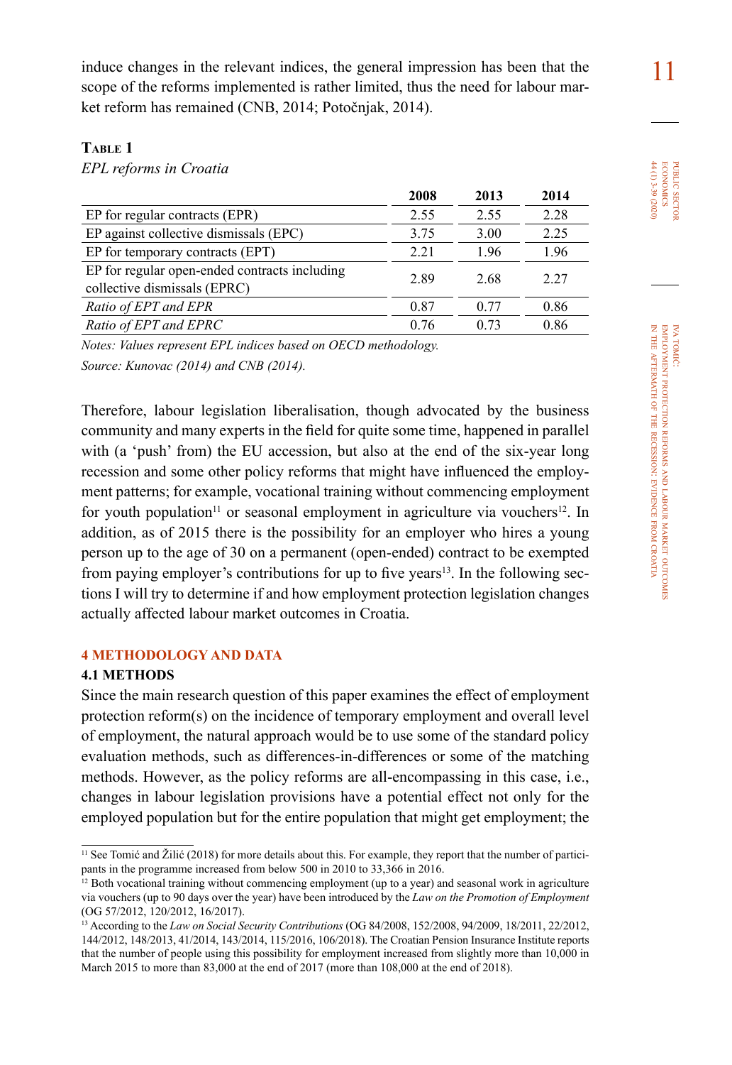induce changes in the relevant indices, the general impression has been that the 11 scope of the reforms implemented is rather limited, thus the need for labour market reform has remained (CNB, 2014; Potočnjak, 2014).

### **Table 1**

*EPL reforms in Croatia*

|                                                                               | 2008 | 2013 | 2014 |
|-------------------------------------------------------------------------------|------|------|------|
| EP for regular contracts (EPR)                                                | 2.55 | 2.55 | 2.28 |
| EP against collective dismissals (EPC)                                        | 3.75 | 3.00 | 2.25 |
| EP for temporary contracts (EPT)                                              | 2.21 | 1.96 | 1.96 |
| EP for regular open-ended contracts including<br>collective dismissals (EPRC) | 2.89 | 2.68 | 2.27 |
| Ratio of EPT and EPR                                                          | 0.87 | 0.77 | 0.86 |
| Ratio of EPT and EPRC                                                         | 0.76 | 0.73 | 0.86 |

*Notes: Values represent EPL indices based on OECD methodology.*

*Source: Kunovac (2014) and CNB (2014).*

Therefore, labour legislation liberalisation, though advocated by the business community and many experts in the field for quite some time, happened in parallel with (a 'push' from) the EU accession, but also at the end of the six-year long recession and some other policy reforms that might have influenced the employment patterns; for example, vocational training without commencing employment for youth population<sup>11</sup> or seasonal employment in agriculture via vouchers<sup>12</sup>. In addition, as of 2015 there is the possibility for an employer who hires a young person up to the age of 30 on a permanent (open-ended) contract to be exempted from paying employer's contributions for up to five years<sup>13</sup>. In the following sections I will try to determine if and how employment protection legislation changes actually affected labour market outcomes in Croatia.

### **4 METHODOLOGY AND DATA**

### **4.1 METHODS**

Since the main research question of this paper examines the effect of employment protection reform(s) on the incidence of temporary employment and overall level of employment, the natural approach would be to use some of the standard policy evaluation methods, such as differences-in-differences or some of the matching methods. However, as the policy reforms are all-encompassing in this case, i.e., changes in labour legislation provisions have a potential effect not only for the employed population but for the entire population that might get employment; the

 $11$  See Tomić and Žilić (2018) for more details about this. For example, they report that the number of participants in the programme increased from below 500 in 2010 to 33,366 in 2016.

<sup>&</sup>lt;sup>12</sup> Both vocational training without commencing employment (up to a year) and seasonal work in agriculture via vouchers (up to 90 days over the year) have been introduced by the *Law on the Promotion of Employment* (OG 57/2012, 120/2012, 16/2017).

<sup>13</sup> According to the *Law on Social Security Contributions* (OG 84/2008, 152/2008, 94/2009, 18/2011, 22/2012, 144/2012, 148/2013, 41/2014, 143/2014, 115/2016, 106/2018). The Croatian Pension Insurance Institute reports that the number of people using this possibility for employment increased from slightly more than 10,000 in March 2015 to more than 83,000 at the end of 2017 (more than 108,000 at the end of 2018).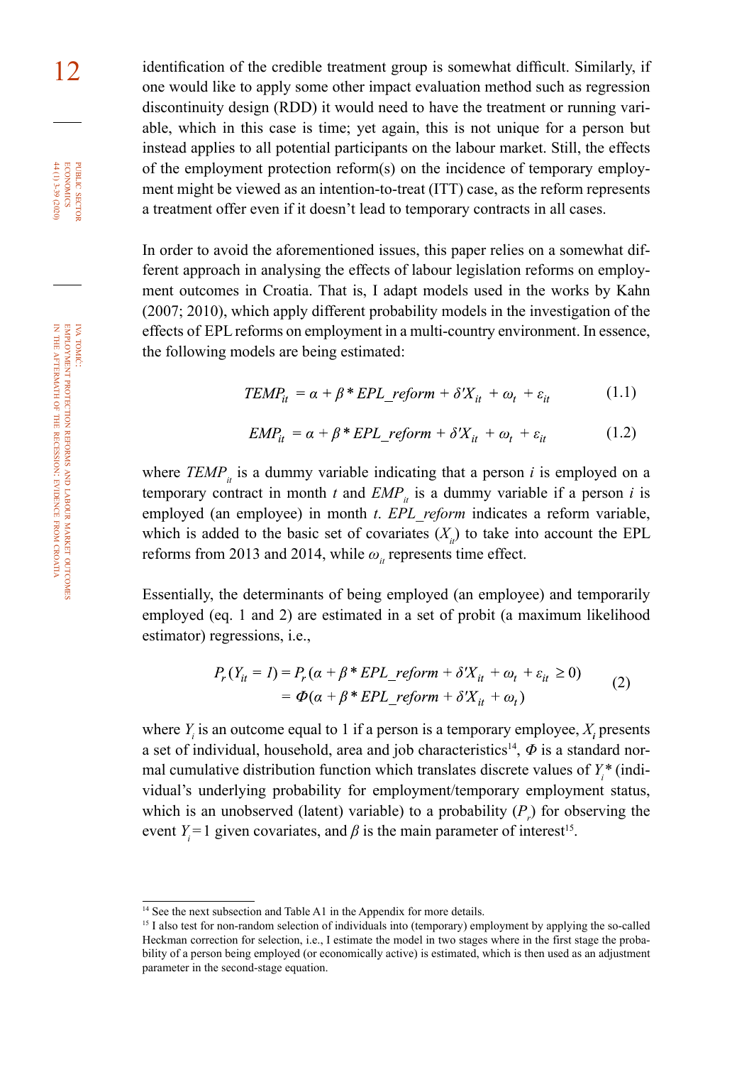12 identification of the credible treatment group is somewhat difficult. Similarly, if one would like to apply some other impact evaluation method such as regression discontinuity design (RDD) it would need to have the treatment or running variable, which in this case is time; yet again, this is not unique for a person but instead applies to all potential participants on the labour market. Still, the effects of the employment protection reform(s) on the incidence of temporary employment might be viewed as an intention-to-treat (ITT) case, as the reform represents a treatment offer even if it doesn't lead to temporary contracts in all cases.

> In order to avoid the aforementioned issues, this paper relies on a somewhat different approach in analysing the effects of labour legislation reforms on employment outcomes in Croatia. That is, I adapt models used in the works by Kahn (2007; 2010), which apply different probability models in the investigation of the effects of  EPL reforms on employment in a multi-country environment. In essence, the following models are being estimated:

$$
TEMP_{it} = \alpha + \beta * EPL\_reform + \delta'X_{it} + \omega_t + \varepsilon_{it} \tag{1.1}
$$

$$
EMP_{it} = \alpha + \beta * EPL\_reform + \delta'X_{it} + \omega_t + \varepsilon_{it}
$$
 (1.2)

where  $TEMP<sub>i</sub>$  is a dummy variable indicating that a person *i* is employed on a temporary contract in month  $t$  and  $EMP_{it}$  is a dummy variable if a person  $i$  is employed (an employee) in month *t*. *EPL\_reform* indicates a reform variable, which is added to the basic set of covariates  $(X<sub>i</sub>)$  to take into account the EPL reforms from 2013 and 2014, while  $\omega_i$  represents time effect.

Essentially, the determinants of being employed (an employee) and temporarily employed (eq. 1 and 2) are estimated in a set of probit (a maximum likelihood estimator) regressions, i.e.,

$$
P_r(Y_{it} = 1) = P_r(\alpha + \beta * EPL_reform + \delta'X_{it} + \omega_t + \varepsilon_{it} \ge 0)
$$
  
=  $\Phi(\alpha + \beta * EPL\ reform + \delta'X_{it} + \omega_t)$  (2)

where  $Y_i$  is an outcome equal to 1 if a person is a temporary employee,  $X_i$  presents a set of individual, household, area and job characteristics<sup>14</sup>,  $\Phi$  is a standard normal cumulative distribution function which translates discrete values of *Yi \** (individual's underlying probability for employment/temporary employment status, which is an unobserved (latent) variable) to a probability  $(P_r)$  for observing the event  $Y_i = 1$  given covariates, and  $\beta$  is the main parameter of interest<sup>15</sup>.

iva tomić:

public

PUBLIC SECTOR<br>ECONOMICS<br>H(1)3-39 (2020)

<sup>&</sup>lt;sup>14</sup> See the next subsection and Table A1 in the Appendix for more details.

<sup>15</sup> I also test for non-random selection of individuals into (temporary) employment by applying the so-called Heckman correction for selection, i.e., I estimate the model in two stages where in the first stage the probability of a person being employed (or economically active) is estimated, which is then used as an adjustment parameter in the second-stage equation.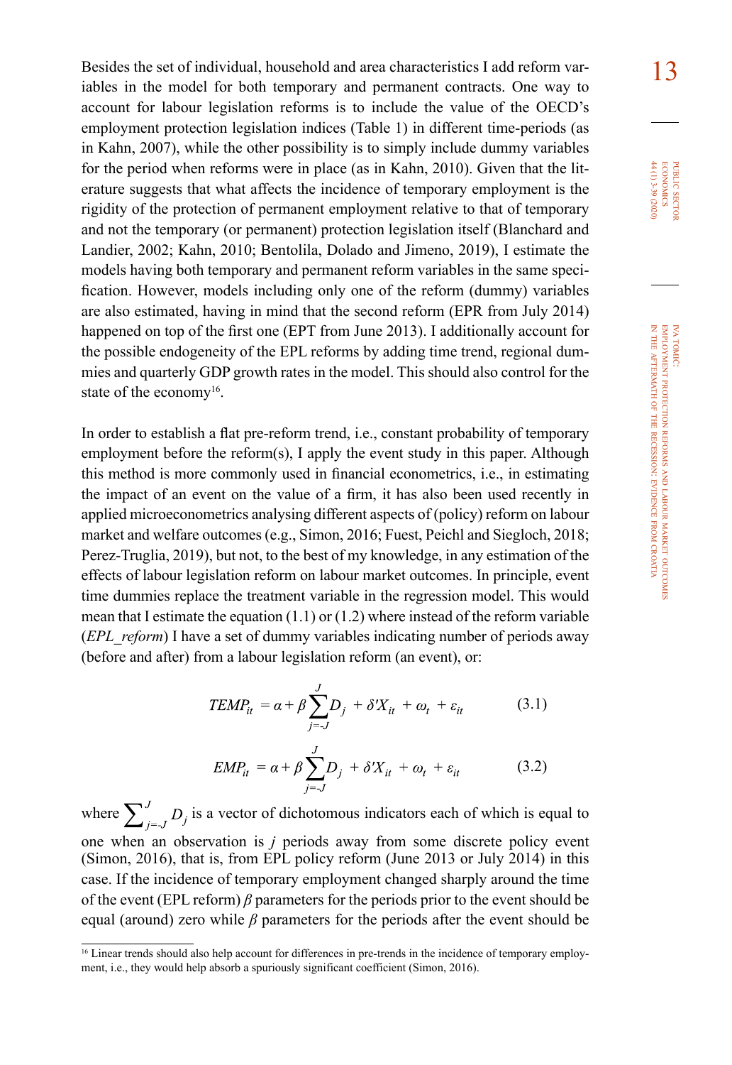Besides the set of individual, household and area characteristics I add reform var-<br>
<sup>1</sup>3 iables in the model for both temporary and permanent contracts. One way to account for labour legislation reforms is to include the value of the OECD's employment protection legislation indices (Table 1) in different time-periods (as in Kahn, 2007), while the other possibility is to simply include dummy variables for the period when reforms were in place (as in Kahn, 2010). Given that the literature suggests that what affects the incidence of temporary employment is the rigidity of the protection of permanent employment relative to that of temporary and not the temporary (or permanent) protection legislation itself (Blanchard and Landier, 2002; Kahn, 2010; Bentolila, Dolado and Jimeno, 2019), I estimate the models having both temporary and permanent reform variables in the same specification. However, models including only one of the reform (dummy) variables are also estimated, having in mind that the second reform (EPR from July 2014) happened on top of the first one (EPT from June 2013). I additionally account for the possible endogeneity of the EPL reforms by adding time trend, regional dummies and quarterly GDP growth rates in the model. This should also control for the state of the economy<sup>16</sup>.

In order to establish a flat pre-reform trend, i.e., constant probability of temporary employment before the reform(s), I apply the event study in this paper. Although this method is more commonly used in financial econometrics, i.e., in estimating the impact of an event on the value of a firm, it has also been used recently in applied microeconometrics analysing different aspects of (policy) reform on labour market and welfare outcomes (e.g., Simon, 2016; Fuest, Peichl and Siegloch, 2018; Perez-Truglia, 2019), but not, to the best of my knowledge, in any estimation of the effects of labour legislation reform on labour market outcomes. In principle, event time dummies replace the treatment variable in the regression model. This would mean that I estimate the equation (1.1) or (1.2) where instead of the reform variable (*EPL\_reform*) I have a set of dummy variables indicating number of periods away (before and after) from a labour legislation reform (an event), or:

$$
TEMP_{it} = \alpha + \beta \sum_{j=-J}^{J} D_j + \delta' X_{it} + \omega_t + \varepsilon_{it}
$$
 (3.1)

$$
EMP_{it} = \alpha + \beta \sum_{j=-J}^{J} D_j + \delta' X_{it} + \omega_t + \varepsilon_{it}
$$
 (3.2)

where  $\sum_{i=1}^{J} D_i$  is a vector of dichotomous indicators each of which is equal to one when an observation is *j* periods away from some discrete policy event (Simon, 2016), that is, from EPL policy reform (June 2013 or July 2014) in this case. If the incidence of temporary employment changed sharply around the time of the event (EPL reform) *β* parameters for the periods prior to the event should be equal (around) zero while *β* parameters for the periods after the event should be

<sup>16</sup> Linear trends should also help account for differences in pre-trends in the incidence of temporary employment, i.e., they would help absorb a spuriously significant coefficient (Simon, 2016).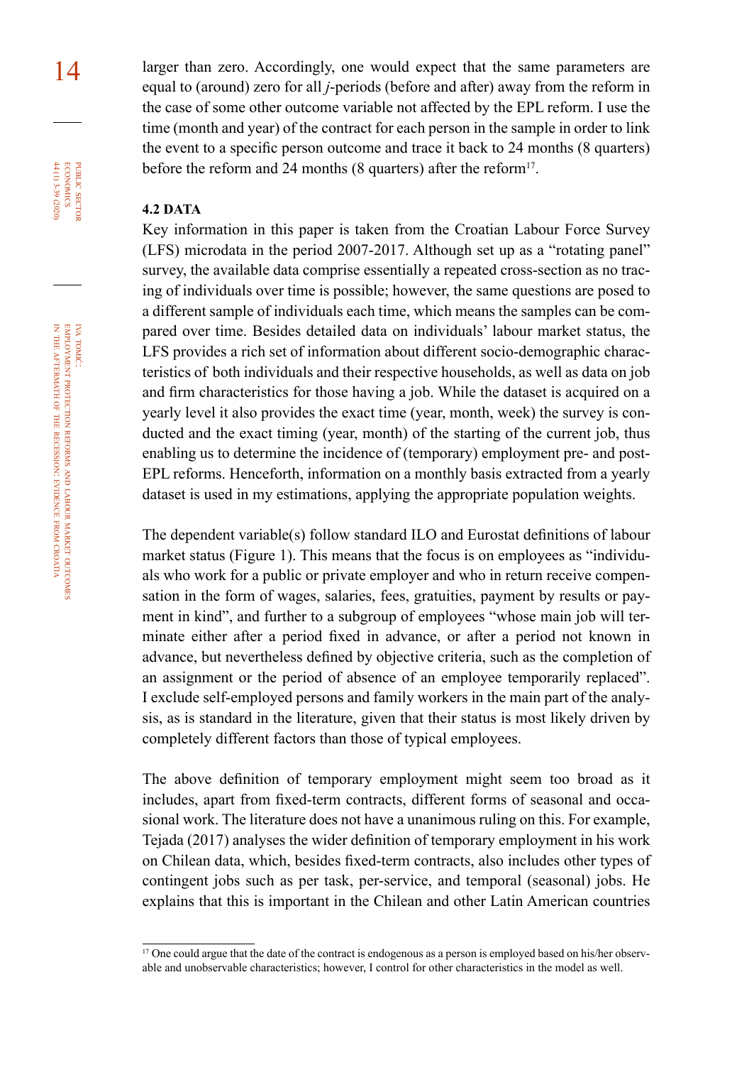14 larger than zero. Accordingly, one would expect that the same parameters are equal to (around) zero for all *j*-periods (before and after) away from the reform in the case of some other outcome variable not affected by the EPL reform. I use the time (month and year) of the contract for each person in the sample in order to link the event to a specific person outcome and trace it back to 24 months (8 quarters) before the reform and 24 months (8 quarters) after the reform<sup>17</sup>.

#### **4.2 DATA**

Key information in this paper is taken from the Croatian Labour Force Survey (LFS) microdata in the period 2007-2017. Although set up as a "rotating panel" survey, the available data comprise essentially a repeated cross-section as no tracing of individuals over time is possible; however, the same questions are posed to a different sample of individuals each time, which means the samples can be compared over time. Besides detailed data on individuals' labour market status, the LFS provides a rich set of information about different socio-demographic characteristics of both individuals and their respective households, as well as data on job and firm characteristics for those having a job. While the dataset is acquired on a yearly level it also provides the exact time (year, month, week) the survey is conducted and the exact timing (year, month) of the starting of the current job, thus enabling us to determine the incidence of (temporary) employment pre- and post-EPL reforms. Henceforth, information on a monthly basis extracted from a yearly dataset is used in my estimations, applying the appropriate population weights.

The dependent variable(s) follow standard ILO and Eurostat definitions of labour market status (Figure 1). This means that the focus is on employees as "individuals who work for a public or private employer and who in return receive compensation in the form of wages, salaries, fees, gratuities, payment by results or payment in kind", and further to a subgroup of employees "whose main job will terminate either after a period fixed in advance, or after a period not known in advance, but nevertheless defined by objective criteria, such as the completion of an assignment or the period of absence of an employee temporarily replaced". I exclude self-employed persons and family workers in the main part of the analysis, as is standard in the literature, given that their status is most likely driven by completely different factors than those of typical employees.

The above definition of temporary employment might seem too broad as it includes, apart from fixed-term contracts, different forms of seasonal and occasional work. The literature does not have a unanimous ruling on this. For example, Tejada (2017) analyses the wider definition of temporary employment in his work on Chilean data, which, besides fixed-term contracts, also includes other types of contingent jobs such as per task, per-service, and temporal (seasonal) jobs. He explains that this is important in the Chilean and other Latin American countries

iva tomić:

public

**ECONOMICS** PUBLIC SECTOR 44 (1) 3-39 (2020)

<sup>&</sup>lt;sup>17</sup> One could argue that the date of the contract is endogenous as a person is employed based on his/her observable and unobservable characteristics; however, I control for other characteristics in the model as well.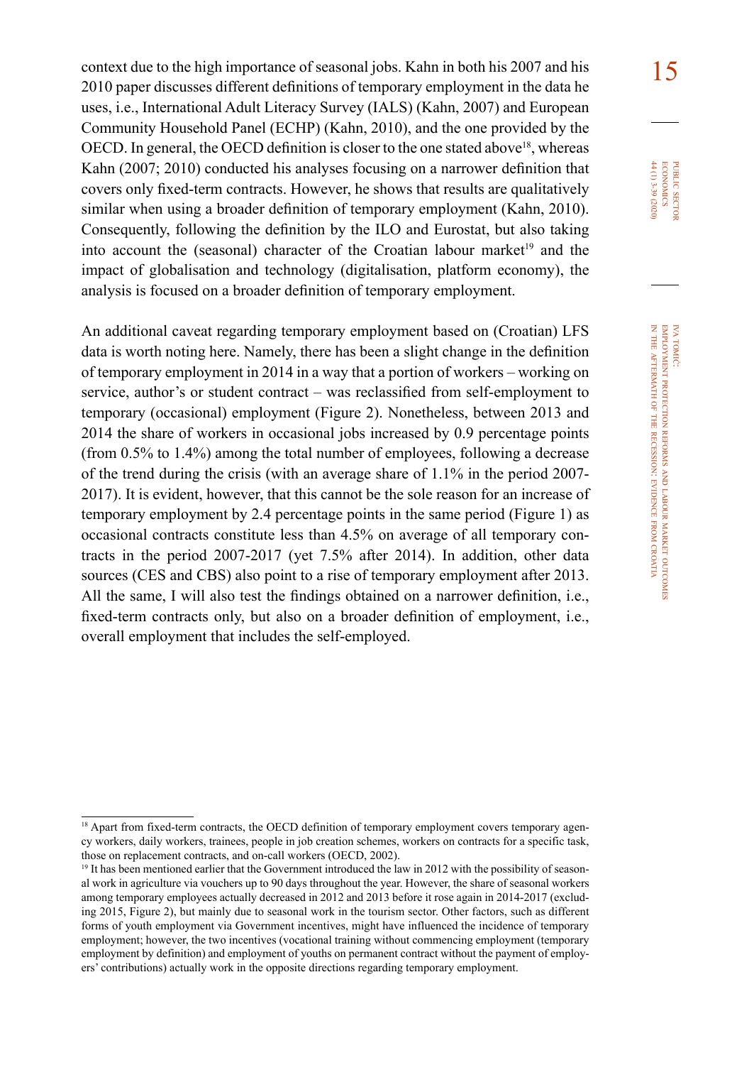context due to the high importance of seasonal jobs. Kahn in both his 2007 and his  $\frac{15}{2}$ 2010 paper discusses different definitions of temporary employment in the data he uses, i.e., International Adult Literacy Survey (IALS) (Kahn, 2007) and European Community Household Panel (ECHP) (Kahn, 2010), and the one provided by the OECD. In general, the OECD definition is closer to the one stated above<sup>18</sup>, whereas Kahn (2007; 2010) conducted his analyses focusing on a narrower definition that covers only fixed-term contracts. However, he shows that results are qualitatively similar when using a broader definition of temporary employment (Kahn, 2010). Consequently, following the definition by the ILO and Eurostat, but also taking into account the (seasonal) character of the Croatian labour market<sup>19</sup> and the impact of globalisation and technology (digitalisation, platform economy), the analysis is focused on a broader definition of temporary employment.

An additional caveat regarding temporary employment based on (Croatian) LFS data is worth noting here. Namely, there has been a slight change in the definition of temporary employment in 2014 in a way that a portion of workers – working on service, author's or student contract – was reclassified from self-employment to temporary (occasional) employment (Figure 2). Nonetheless, between 2013 and 2014 the share of workers in occasional jobs increased by 0.9 percentage points (from 0.5% to 1.4%) among the total number of employees, following a decrease of the trend during the crisis (with an average share of 1.1% in the period 2007- 2017). It is evident, however, that this cannot be the sole reason for an increase of temporary employment by 2.4 percentage points in the same period (Figure 1) as occasional contracts constitute less than 4.5% on average of all temporary contracts in the period 2007-2017 (yet 7.5% after 2014). In addition, other data sources (CES and CBS) also point to a rise of temporary employment after 2013. All the same, I will also test the findings obtained on a narrower definition, i.e., fixed-term contracts only, but also on a broader definition of employment, i.e., overall employment that includes the self-employed.

PUBLIC SECTOR<br>ECONOMICS<br>44 (1) 3-39 (2020) 44 (1) 3-39 (2020) economics public sector

<sup>&</sup>lt;sup>18</sup> Apart from fixed-term contracts, the OECD definition of temporary employment covers temporary agency workers, daily workers, trainees, people in job creation schemes, workers on contracts for a specific task, those on replacement contracts, and on-call workers (OECD, 2002).

<sup>&</sup>lt;sup>19</sup> It has been mentioned earlier that the Government introduced the law in 2012 with the possibility of seasonal work in agriculture via vouchers up to 90 days throughout the year. However, the share of seasonal workers among temporary employees actually decreased in 2012 and 2013 before it rose again in 2014-2017 (excluding 2015, Figure 2), but mainly due to seasonal work in the tourism sector. Other factors, such as different forms of youth employment via Government incentives, might have influenced the incidence of temporary employment; however, the two incentives (vocational training without commencing employment (temporary employment by definition) and employment of youths on permanent contract without the payment of employers' contributions) actually work in the opposite directions regarding temporary employment.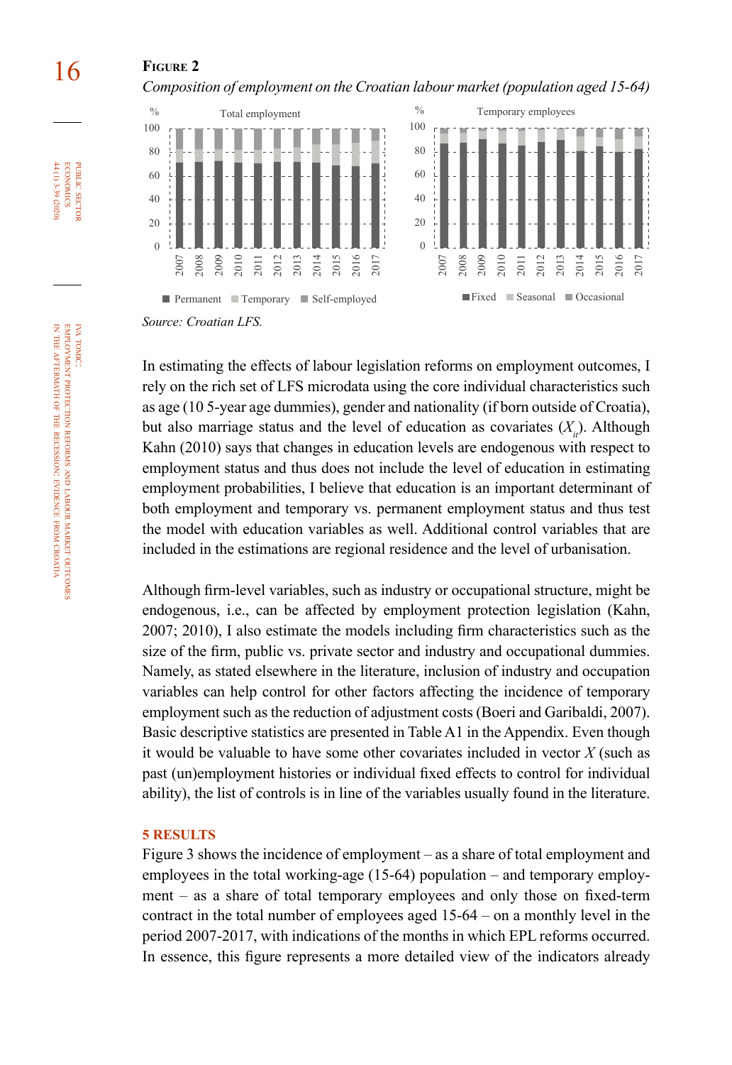### 16 **Figure 2**

*Composition of employment on the Croatian labour market (population aged 15-64)*



In estimating the effects of labour legislation reforms on employment outcomes, I rely on the rich set of LFS microdata using the core individual characteristics such as age (10 5-year age dummies), gender and nationality (if born outside of Croatia), but also marriage status and the level of education as covariates  $(X_n)$ . Although Kahn (2010) says that changes in education levels are endogenous with respect to employment status and thus does not include the level of education in estimating employment probabilities, I believe that education is an important determinant of both employment and temporary vs. permanent employment status and thus test the model with education variables as well. Additional control variables that are included in the estimations are regional residence and the level of urbanisation.

Although firm-level variables, such as industry or occupational structure, might be endogenous, i.e., can be affected by employment protection legislation (Kahn, 2007; 2010), I also estimate the models including firm characteristics such as the size of the firm, public vs. private sector and industry and occupational dummies. Namely, as stated elsewhere in the literature, inclusion of industry and occupation variables can help control for other factors affecting the incidence of temporary employment such as the reduction of adjustment costs (Boeri and Garibaldi, 2007). Basic descriptive statistics are presented in Table A1 in the Appendix. Even though it would be valuable to have some other covariates included in vector *X* (such as past (un)employment histories or individual fixed effects to control for individual ability), the list of controls is in line of the variables usually found in the literature.

#### **5 RESULTS**

Figure 3 shows the incidence of employment – as a share of total employment and employees in the total working-age (15-64) population – and temporary employment – as a share of total temporary employees and only those on fixed-term contract in the total number of employees aged 15-64 – on a monthly level in the period 2007-2017, with indications of the months in which EPL reforms occurred. In essence, this figure represents a more detailed view of the indicators already

iva tomić:

public

**ECONOMICS**  $44(1)3-39(2020)$ PUBLIC SECTOR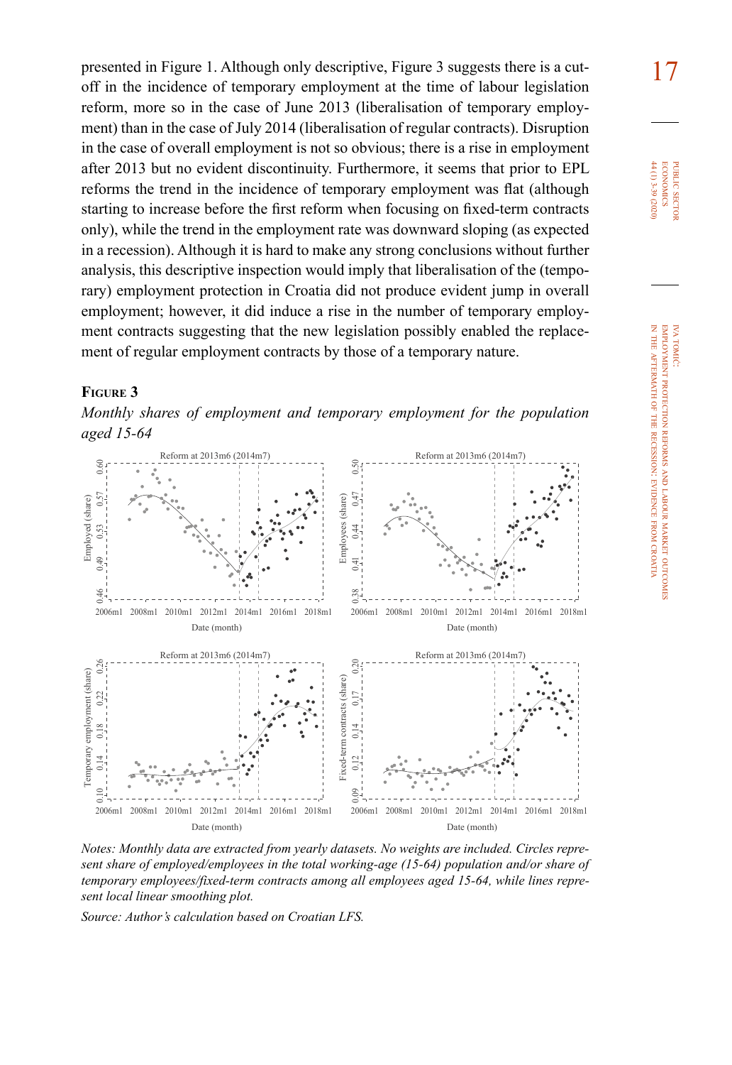presented in Figure 1. Although only descriptive, Figure 3 suggests there is a cutoff in the incidence of temporary employment at the time of labour legislation reform, more so in the case of June 2013 (liberalisation of temporary employment) than in the case of July 2014 (liberalisation of regular contracts). Disruption in the case of overall employment is not so obvious; there is a rise in employment after 2013 but no evident discontinuity. Furthermore, it seems that prior to EPL reforms the trend in the incidence of temporary employment was flat (although starting to increase before the first reform when focusing on fixed-term contracts only), while the trend in the employment rate was downward sloping (as expected in a recession). Although it is hard to make any strong conclusions without further analysis, this descriptive inspection would imply that liberalisation of the (temporary) employment protection in Croatia did not produce evident jump in overall employment; however, it did induce a rise in the number of temporary employment contracts suggesting that the new legislation possibly enabled the replacement of regular employment contracts by those of a temporary nature.

### **Figure 3**

*Monthly shares of employment and temporary employment for the population aged 15-64*



*Notes: Monthly data are extracted from yearly datasets. No weights are included. Circles represent share of employed/employees in the total working-age (15-64) population and/or share of temporary employees/fixed-term contracts among all employees aged 15-64, while lines represent local linear smoothing plot.*

*Source: Author's calculation based on Croatian LFS.*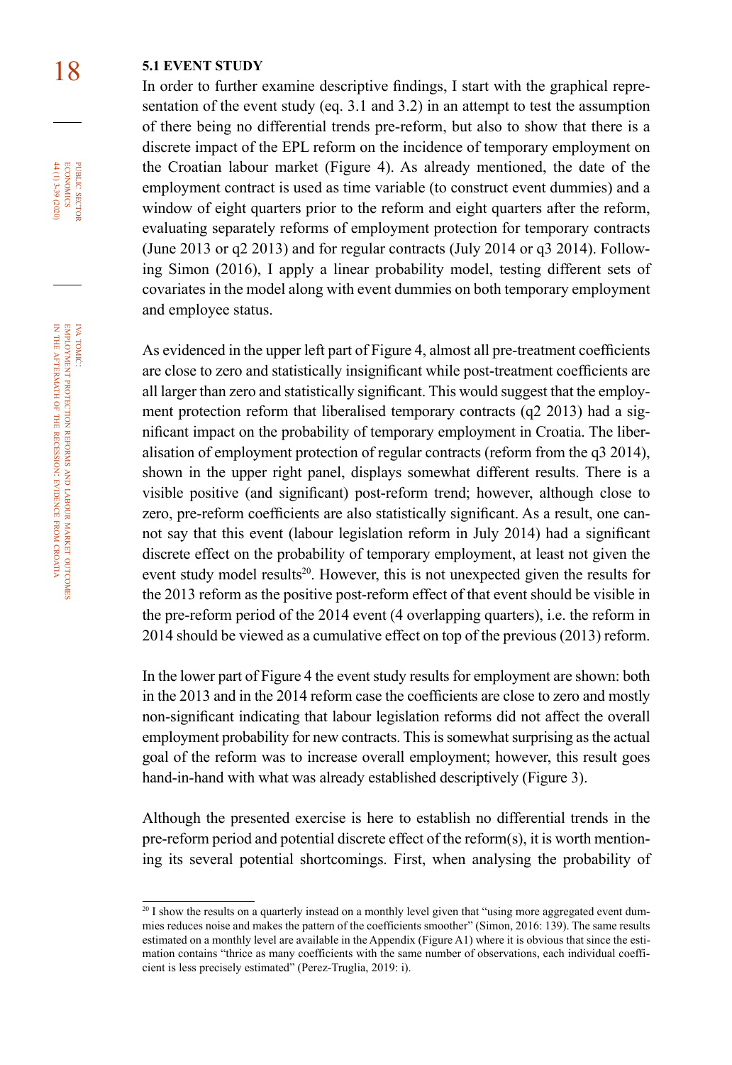### 18 **5.1 EVENT STUDY**

In order to further examine descriptive findings, I start with the graphical representation of the event study (eq. 3.1 and 3.2) in an attempt to test the assumption of there being no differential trends pre-reform, but also to show that there is a discrete impact of the EPL reform on the incidence of temporary employment on the Croatian labour market (Figure 4). As already mentioned, the date of the employment contract is used as time variable (to construct event dummies) and a window of eight quarters prior to the reform and eight quarters after the reform, evaluating separately reforms of employment protection for temporary contracts (June 2013 or q2 2013) and for regular contracts (July 2014 or q3 2014). Following Simon (2016), I apply a linear probability model, testing different sets of covariates in the model along with event dummies on both temporary employment and employee status.

As evidenced in the upper left part of Figure 4, almost all pre-treatment coefficients are close to zero and statistically insignificant while post-treatment coefficients are all larger than zero and statistically significant. This would suggest that the employment protection reform that liberalised temporary contracts (q2 2013) had a significant impact on the probability of temporary employment in Croatia. The liberalisation of employment protection of regular contracts (reform from the q3 2014), shown in the upper right panel, displays somewhat different results. There is a visible positive (and significant) post-reform trend; however, although close to zero, pre-reform coefficients are also statistically significant. As a result, one cannot say that this event (labour legislation reform in July 2014) had a significant discrete effect on the probability of temporary employment, at least not given the event study model results<sup>20</sup>. However, this is not unexpected given the results for the 2013 reform as the positive post-reform effect of that event should be visible in the pre-reform period of the 2014 event (4 overlapping quarters), i.e. the reform in 2014 should be viewed as a cumulative effect on top of the previous (2013) reform.

In the lower part of Figure 4 the event study results for employment are shown: both in the 2013 and in the 2014 reform case the coefficients are close to zero and mostly non-significant indicating that labour legislation reforms did not affect the overall employment probability for new contracts. This is somewhat surprising as the actual goal of the reform was to increase overall employment; however, this result goes hand-in-hand with what was already established descriptively (Figure 3).

Although the presented exercise is here to establish no differential trends in the pre-reform period and potential discrete effect of the reform(s), it is worth mentioning its several potential shortcomings. First, when analysing the probability of

iva tomić:

public

PUBLIC SECTOR<br>ECONOMICS 44 (1) 3-39 (2020)

<sup>&</sup>lt;sup>20</sup> I show the results on a quarterly instead on a monthly level given that "using more aggregated event dummies reduces noise and makes the pattern of the coefficients smoother" (Simon, 2016: 139). The same results estimated on a monthly level are available in the Appendix (Figure A1) where it is obvious that since the estimation contains "thrice as many coefficients with the same number of observations, each individual coefficient is less precisely estimated" (Perez-Truglia, 2019: i).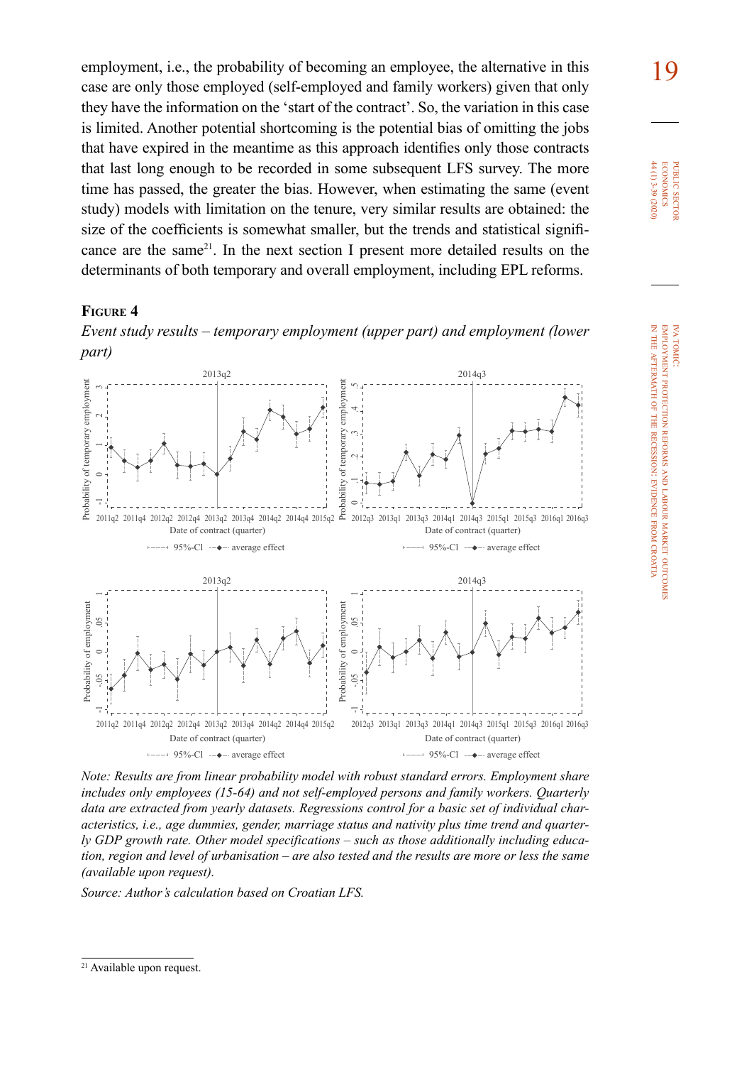employment, i.e., the probability of becoming an employee, the alternative in this **19** case are only those employed (self-employed and family workers) given that only they have the information on the 'start of the contract'. So, the variation in this case is limited. Another potential shortcoming is the potential bias of omitting the jobs that have expired in the meantime as this approach identifies only those contracts that last long enough to be recorded in some subsequent LFS survey. The more time has passed, the greater the bias. However, when estimating the same (event study) models with limitation on the tenure, very similar results are obtained: the size of the coefficients is somewhat smaller, but the trends and statistical significance are the same<sup>21</sup>. In the next section I present more detailed results on the determinants of both temporary and overall employment, including EPL reforms.

#### **Figure 4**

*Event study results – temporary employment (upper part) and employment (lower part)*



*Note: Results are from linear probability model with robust standard errors. Employment share includes only employees (15-64) and not self-employed persons and family workers. Quarterly data are extracted from yearly datasets. Regressions control for a basic set of individual characteristics, i.e., age dummies, gender, marriage status and nativity plus time trend and quarterly GDP growth rate. Other model specifications – such as those additionally including education, region and level of urbanisation – are also tested and the results are more or less the same (available upon request).*

*Source: Author's calculation based on Croatian LFS.*

<sup>21</sup> Available upon request.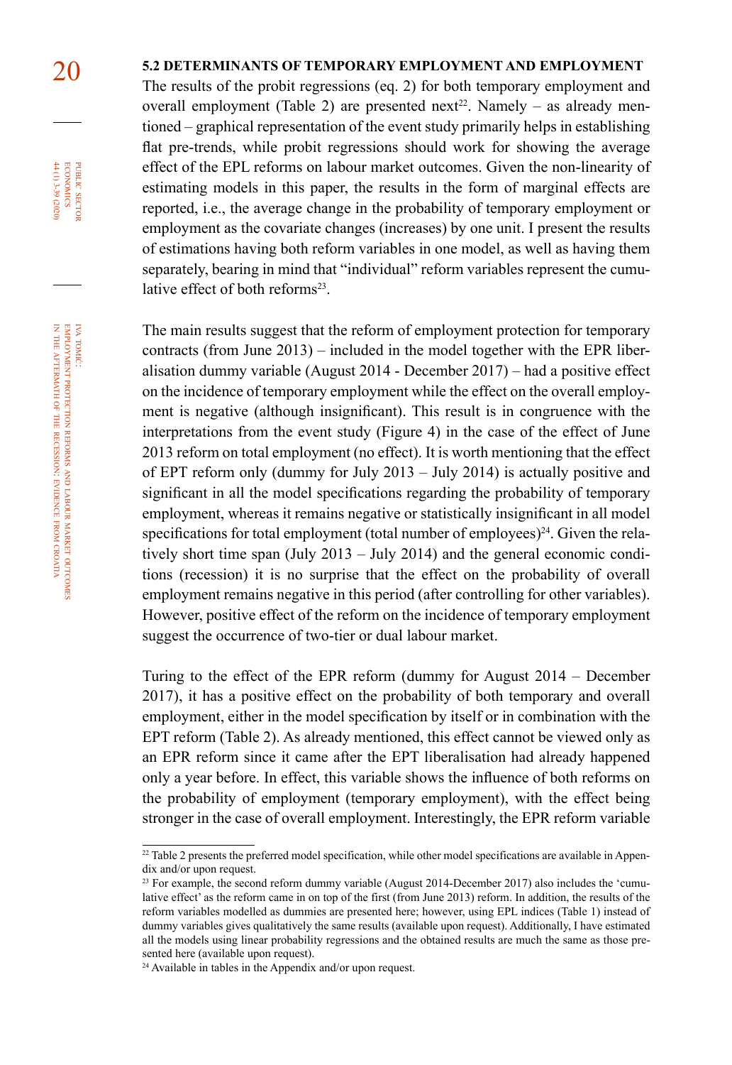### 20 **5.2 DETERMINANTS OF TEMPORARY EMPLOYMENT AND EMPLOYMENT**

The results of the probit regressions (eq. 2) for both temporary employment and overall employment (Table 2) are presented next<sup>22</sup>. Namely – as already mentioned – graphical representation of the event study primarily helps in establishing flat pre-trends, while probit regressions should work for showing the average effect of the EPL reforms on labour market outcomes. Given the non-linearity of estimating models in this paper, the results in the form of marginal effects are reported, i.e., the average change in the probability of temporary employment or employment as the covariate changes (increases) by one unit. I present the results of estimations having both reform variables in one model, as well as having them separately, bearing in mind that "individual" reform variables represent the cumulative effect of both reforms $23$ .

The main results suggest that the reform of employment protection for temporary contracts (from June 2013) – included in the model together with the EPR liberalisation dummy variable (August 2014 - December 2017) – had a positive effect on the incidence of temporary employment while the effect on the overall employment is negative (although insignificant). This result is in congruence with the interpretations from the event study (Figure 4) in the case of the effect of June 2013 reform on total employment (no effect). It is worth mentioning that the effect of EPT reform only (dummy for July 2013 – July 2014) is actually positive and significant in all the model specifications regarding the probability of temporary employment, whereas it remains negative or statistically insignificant in all model specifications for total employment (total number of employees) $^{24}$ . Given the relatively short time span (July 2013 – July 2014) and the general economic conditions (recession) it is no surprise that the effect on the probability of overall employment remains negative in this period (after controlling for other variables). However, positive effect of the reform on the incidence of temporary employment suggest the occurrence of two-tier or dual labour market.

Turing to the effect of the EPR reform (dummy for August 2014 – December 2017), it has a positive effect on the probability of both temporary and overall employment, either in the model specification by itself or in combination with the EPT reform (Table 2). As already mentioned, this effect cannot be viewed only as an EPR reform since it came after the EPT liberalisation had already happened only a year before. In effect, this variable shows the influence of both reforms on the probability of employment (temporary employment), with the effect being stronger in the case of overall employment. Interestingly, the EPR reform variable

iva tomić:

public

PUBLIC SECTOR<br>ECONOMICS 44 (1) 3-39 (2020)

 $22$  Table 2 presents the preferred model specification, while other model specifications are available in Appendix and/or upon request.

<sup>&</sup>lt;sup>23</sup> For example, the second reform dummy variable (August 2014-December 2017) also includes the 'cumulative effect' as the reform came in on top of the first (from June 2013) reform. In addition, the results of the reform variables modelled as dummies are presented here; however, using EPL indices (Table 1) instead of dummy variables gives qualitatively the same results (available upon request). Additionally, I have estimated all the models using linear probability regressions and the obtained results are much the same as those presented here (available upon request).

<sup>24</sup> Available in tables in the Appendix and/or upon request.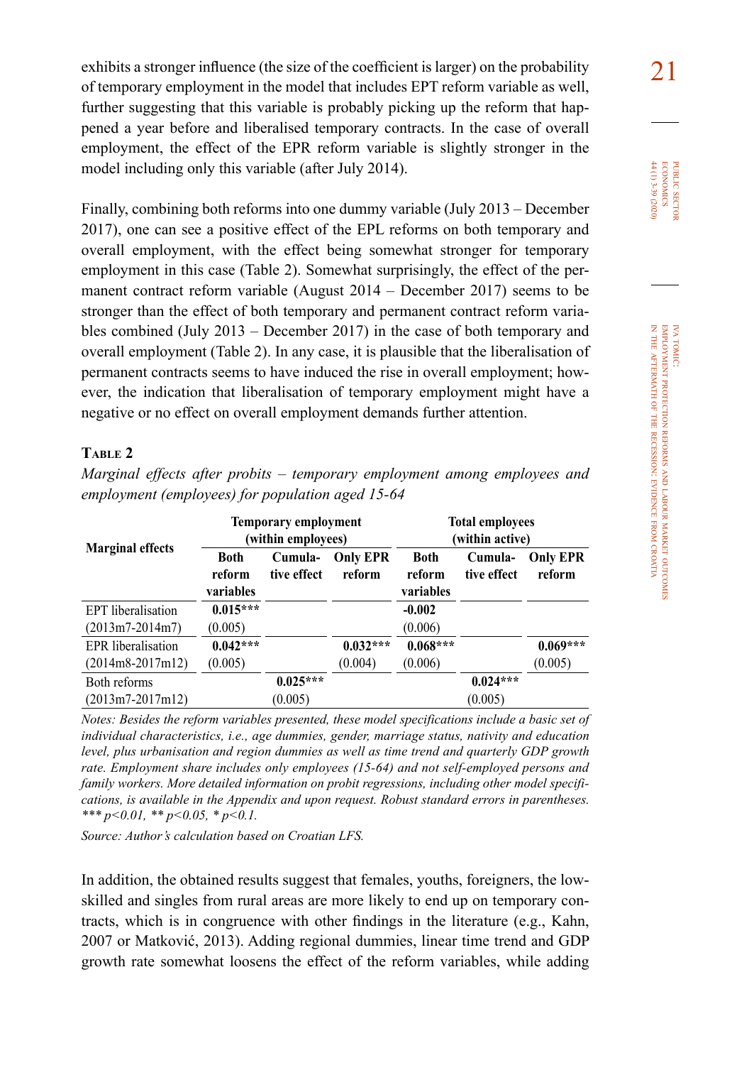exhibits a stronger influence (the size of the coefficient is larger) on the probability  $\boxed{2}$ of temporary employment in the model that includes EPT reform variable as well, further suggesting that this variable is probably picking up the reform that happened a year before and liberalised temporary contracts. In the case of overall employment, the effect of the EPR reform variable is slightly stronger in the model including only this variable (after July 2014).

Finally, combining both reforms into one dummy variable (July 2013 – December 2017), one can see a positive effect of the EPL reforms on both temporary and overall employment, with the effect being somewhat stronger for temporary employment in this case (Table 2). Somewhat surprisingly, the effect of the permanent contract reform variable (August 2014 – December 2017) seems to be stronger than the effect of both temporary and permanent contract reform variables combined (July 2013 – December 2017) in the case of both temporary and overall employment (Table 2). In any case, it is plausible that the liberalisation of permanent contracts seems to have induced the rise in overall employment; however, the indication that liberalisation of temporary employment might have a negative or no effect on overall employment demands further attention.

### **Table 2**

*Marginal effects after probits – temporary employment among employees and employment (employees) for population aged 15-64* 

|                         |                             | <b>Temporary employment</b><br>(within employees) |                           |                                    | <b>Total employees</b><br>(within active) |                           |
|-------------------------|-----------------------------|---------------------------------------------------|---------------------------|------------------------------------|-------------------------------------------|---------------------------|
| <b>Marginal effects</b> | Both<br>reform<br>variables | Cumula-<br>tive effect                            | <b>Only EPR</b><br>reform | <b>Both</b><br>reform<br>variables | Cumula-<br>tive effect                    | <b>Only EPR</b><br>reform |
| EPT liberalisation      | $0.015***$                  |                                                   |                           | $-0.002$                           |                                           |                           |
| $(2013m7 - 2014m7)$     | (0.005)                     |                                                   |                           | (0.006)                            |                                           |                           |
| EPR liberalisation      | $0.042***$                  |                                                   | $0.032***$                | $0.068***$                         |                                           | $0.069***$                |
| $(2014m8-2017m12)$      | (0.005)                     |                                                   | (0.004)                   | (0.006)                            |                                           | (0.005)                   |
| Both reforms            |                             | $0.025***$                                        |                           |                                    | $0.024***$                                |                           |
| $(2013m7 - 2017m12)$    |                             | (0.005)                                           |                           |                                    | (0.005)                                   |                           |

*Notes: Besides the reform variables presented, these model specifications include a basic set of individual characteristics, i.e., age dummies, gender, marriage status, nativity and education level, plus urbanisation and region dummies as well as time trend and quarterly GDP growth rate. Employment share includes only employees (15-64) and not self-employed persons and family workers. More detailed information on probit regressions, including other model specifications, is available in the Appendix and upon request. Robust standard errors in parentheses. \*\*\* p<0.01, \*\* p<0.05, \* p<0.1.*

*Source: Author's calculation based on Croatian LFS.*

In addition, the obtained results suggest that females, youths, foreigners, the lowskilled and singles from rural areas are more likely to end up on temporary contracts, which is in congruence with other findings in the literature (e.g., Kahn, 2007 or Matković, 2013). Adding regional dummies, linear time trend and GDP growth rate somewhat loosens the effect of the reform variables, while adding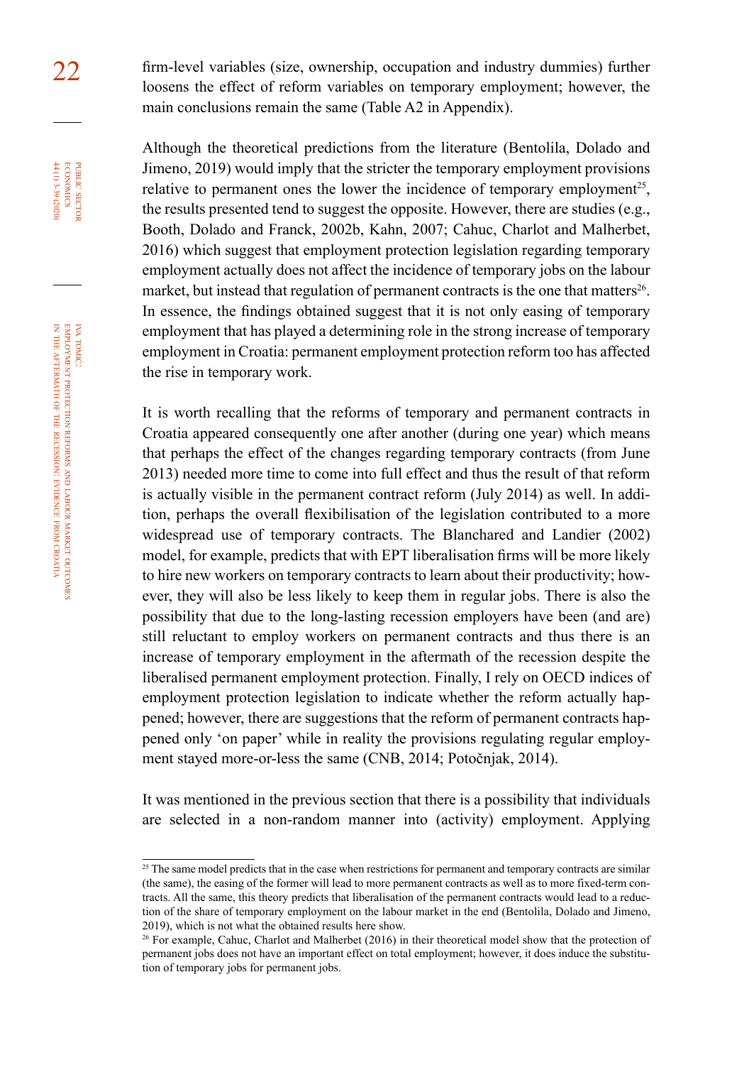22 firm-level variables (size, ownership, occupation and industry dummies) further loosens the effect of reform variables on temporary employment; however, the main conclusions remain the same (Table A2 in Appendix).

> Although the theoretical predictions from the literature (Bentolila, Dolado and Jimeno, 2019) would imply that the stricter the temporary employment provisions relative to permanent ones the lower the incidence of temporary employment<sup>25</sup>. the results presented tend to suggest the opposite. However, there are studies (e.g., Booth, Dolado and Franck, 2002b, Kahn, 2007; Cahuc, Charlot and Malherbet, 2016) which suggest that employment protection legislation regarding temporary employment actually does not affect the incidence of temporary jobs on the labour market, but instead that regulation of permanent contracts is the one that matters<sup>26</sup>. In essence, the findings obtained suggest that it is not only easing of temporary employment that has played a determining role in the strong increase of temporary employment in Croatia: permanent employment protection reform too has affected the rise in temporary work.

> It is worth recalling that the reforms of temporary and permanent contracts in Croatia appeared consequently one after another (during one year) which means that perhaps the effect of the changes regarding temporary contracts (from June 2013) needed more time to come into full effect and thus the result of that reform is actually visible in the permanent contract reform (July 2014) as well. In addition, perhaps the overall flexibilisation of the legislation contributed to a more widespread use of temporary contracts. The Blanchared and Landier (2002) model, for example, predicts that with EPT liberalisation firms will be more likely to hire new workers on temporary contracts to learn about their productivity; however, they will also be less likely to keep them in regular jobs. There is also the possibility that due to the long-lasting recession employers have been (and are) still reluctant to employ workers on permanent contracts and thus there is an increase of temporary employment in the aftermath of the recession despite the liberalised permanent employment protection. Finally, I rely on OECD indices of employment protection legislation to indicate whether the reform actually happened; however, there are suggestions that the reform of permanent contracts happened only 'on paper' while in reality the provisions regulating regular employment stayed more-or-less the same (CNB, 2014; Potočnjak, 2014).

> It was mentioned in the previous section that there is a possibility that individuals are selected in a non-random manner into (activity) employment. Applying

iva

public

PUBLIC SECTOR<br>ECONOMICS 44 (1) 3-39 (2020)

<sup>&</sup>lt;sup>25</sup> The same model predicts that in the case when restrictions for permanent and temporary contracts are similar (the same), the easing of the former will lead to more permanent contracts as well as to more fixed-term contracts. All the same, this theory predicts that liberalisation of the permanent contracts would lead to a reduction of the share of temporary employment on the labour market in the end (Bentolila, Dolado and Jimeno, 2019), which is not what the obtained results here show.

<sup>&</sup>lt;sup>26</sup> For example, Cahuc, Charlot and Malherbet (2016) in their theoretical model show that the protection of permanent jobs does not have an important effect on total employment; however, it does induce the substitution of temporary jobs for permanent jobs.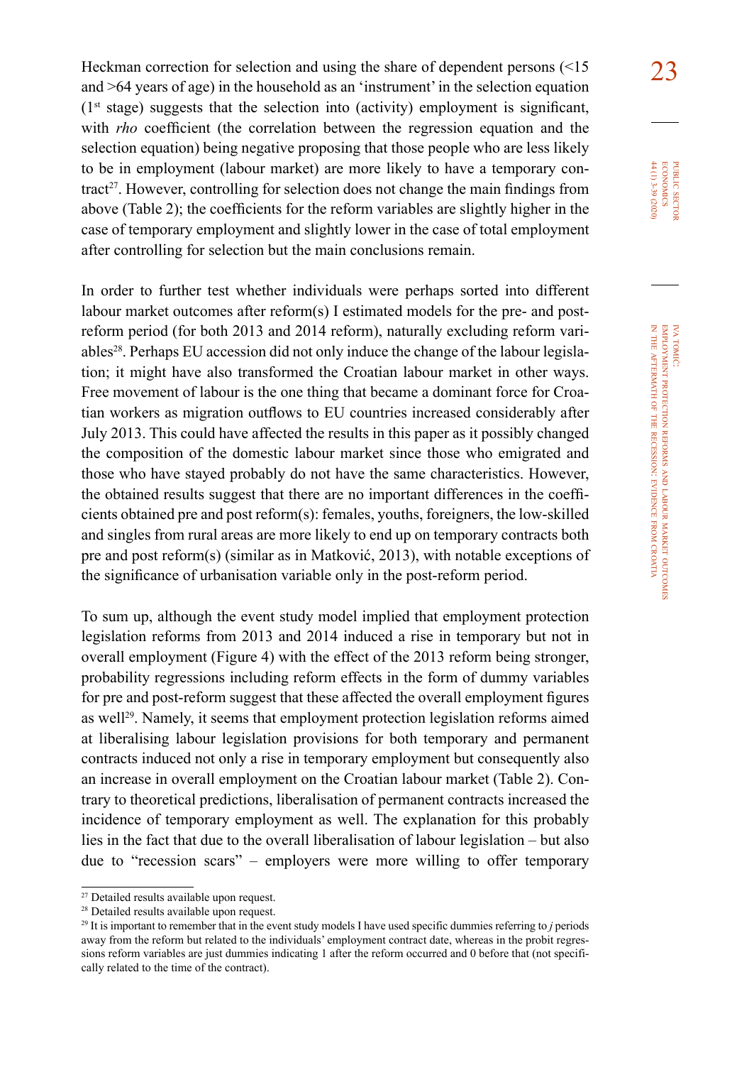Heckman correction for selection and using the share of dependent persons  $(15 \t 23)$ and >64 years of age) in the household as an 'instrument' in the selection equation  $(1<sup>st</sup> stage) suggests that the selection into (activity) employment is significant,$ with *rho* coefficient (the correlation between the regression equation and the selection equation) being negative proposing that those people who are less likely to be in employment (labour market) are more likely to have a temporary con- $\text{tract}^{27}$ . However, controlling for selection does not change the main findings from above (Table 2); the coefficients for the reform variables are slightly higher in the case of temporary employment and slightly lower in the case of total employment after controlling for selection but the main conclusions remain.

In order to further test whether individuals were perhaps sorted into different labour market outcomes after reform(s) I estimated models for the pre- and postreform period (for both 2013 and 2014 reform), naturally excluding reform variables<sup>28</sup>. Perhaps EU accession did not only induce the change of the labour legislation; it might have also transformed the Croatian labour market in other ways. Free movement of labour is the one thing that became a dominant force for Croatian workers as migration outflows to EU countries increased considerably after July 2013. This could have affected the results in this paper as it possibly changed the composition of the domestic labour market since those who emigrated and those who have stayed probably do not have the same characteristics. However, the obtained results suggest that there are no important differences in the coefficients obtained pre and post reform(s): females, youths, foreigners, the low-skilled and singles from rural areas are more likely to end up on temporary contracts both pre and post reform(s) (similar as in Matković, 2013), with notable exceptions of the significance of urbanisation variable only in the post-reform period.

To sum up, although the event study model implied that employment protection legislation reforms from 2013 and 2014 induced a rise in temporary but not in overall employment (Figure 4) with the effect of the 2013 reform being stronger, probability regressions including reform effects in the form of dummy variables for pre and post-reform suggest that these affected the overall employment figures as well29. Namely, it seems that employment protection legislation reforms aimed at liberalising labour legislation provisions for both temporary and permanent contracts induced not only a rise in temporary employment but consequently also an increase in overall employment on the Croatian labour market (Table 2). Contrary to theoretical predictions, liberalisation of permanent contracts increased the incidence of temporary employment as well. The explanation for this probably lies in the fact that due to the overall liberalisation of labour legislation – but also due to "recession scars" – employers were more willing to offer temporary  $44(1)$  3-39 (2020) **ECONOMICS** PUBLIC SECTO 44 (1) 3-39 (2020) economics public sector

<sup>27</sup> Detailed results available upon request.

<sup>28</sup> Detailed results available upon request.

<sup>29</sup> It is important to remember that in the event study models I have used specific dummies referring to *j* periods away from the reform but related to the individuals' employment contract date, whereas in the probit regressions reform variables are just dummies indicating 1 after the reform occurred and 0 before that (not specifically related to the time of the contract).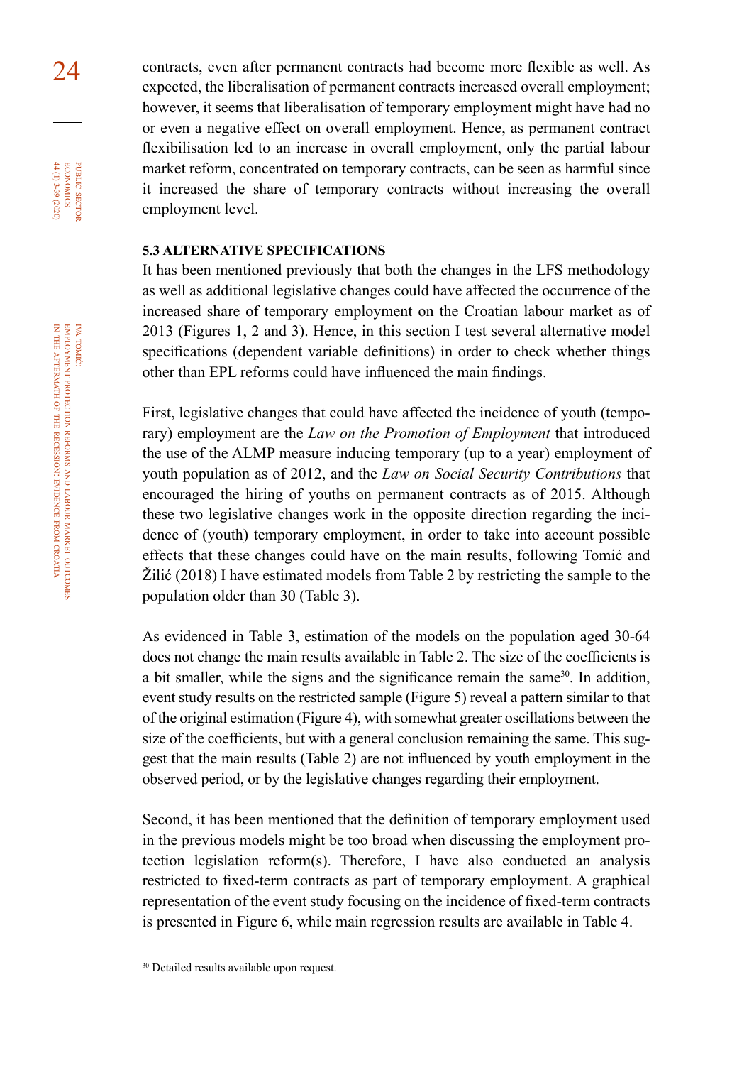24 contracts, even after permanent contracts had become more flexible as well. As expected, the liberalisation of permanent contracts increased overall employment; however, it seems that liberalisation of temporary employment might have had no or even a negative effect on overall employment. Hence, as permanent contract flexibilisation led to an increase in overall employment, only the partial labour market reform, concentrated on temporary contracts, can be seen as harmful since it increased the share of temporary contracts without increasing the overall employment level.

### **5.3 ALTERNATIVE SPECIFICATIONS**

It has been mentioned previously that both the changes in the LFS methodology as well as additional legislative changes could have affected the occurrence of the increased share of temporary employment on the Croatian labour market as of 2013 (Figures 1, 2 and 3). Hence, in this section I test several alternative model specifications (dependent variable definitions) in order to check whether things other than EPL reforms could have influenced the main findings.

First, legislative changes that could have affected the incidence of youth (temporary) employment are the *Law on the Promotion of Employment* that introduced the use of the ALMP measure inducing temporary (up to a year) employment of youth population as of 2012, and the *Law on Social Security Contributions* that encouraged the hiring of youths on permanent contracts as of 2015. Although these two legislative changes work in the opposite direction regarding the incidence of (youth) temporary employment, in order to take into account possible effects that these changes could have on the main results, following Tomić and Žilić (2018) I have estimated models from Table 2 by restricting the sample to the population older than 30 (Table 3).

As evidenced in Table 3, estimation of the models on the population aged 30-64 does not change the main results available in Table 2. The size of the coefficients is a bit smaller, while the signs and the significance remain the same<sup>30</sup>. In addition, event study results on the restricted sample (Figure 5) reveal a pattern similar to that of the original estimation (Figure 4), with somewhat greater oscillations between the size of the coefficients, but with a general conclusion remaining the same. This suggest that the main results (Table 2) are not influenced by youth employment in the observed period, or by the legislative changes regarding their employment.

Second, it has been mentioned that the definition of temporary employment used in the previous models might be too broad when discussing the employment protection legislation reform(s). Therefore, I have also conducted an analysis restricted to fixed-term contracts as part of temporary employment. A graphical representation of the event study focusing on the incidence of fixed-term contracts is presented in Figure 6, while main regression results are available in Table 4.

iva tomić:

public

**ECONOMICS** PUBLIC SECTOR 44 (1) 3-39 (2020)

<sup>30</sup> Detailed results available upon request.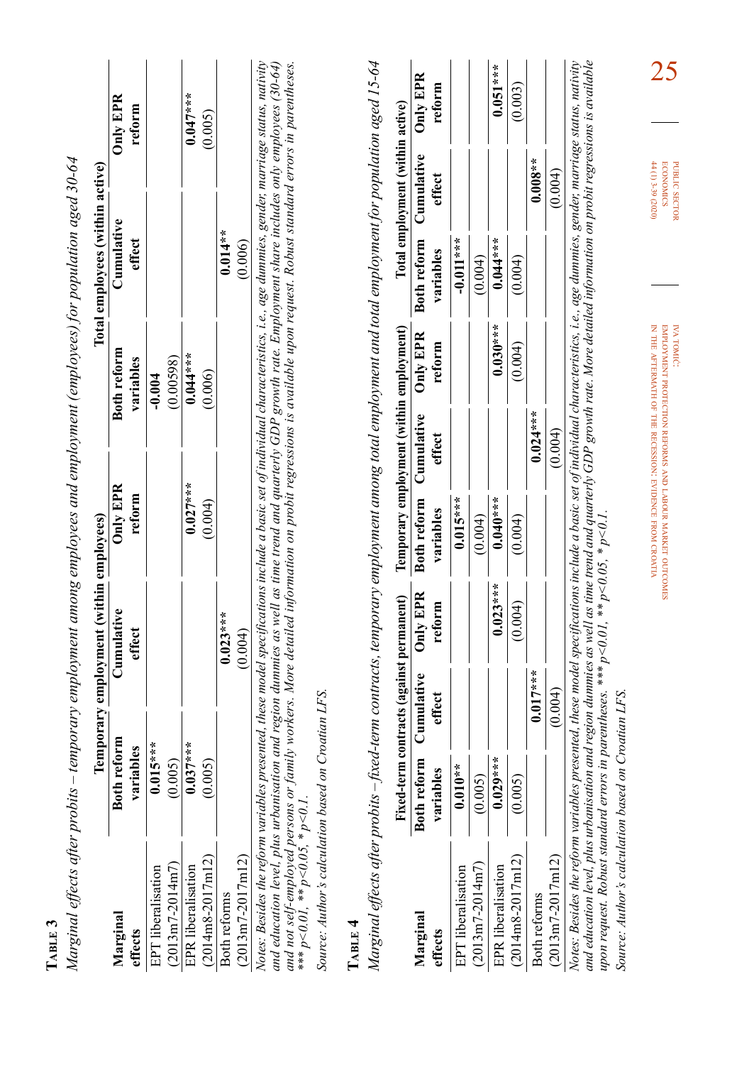| ٦ |  |
|---|--|
| c |  |
|   |  |

|   | l                                                                                 |
|---|-----------------------------------------------------------------------------------|
|   | ł<br>Ï                                                                            |
| ¢ |                                                                                   |
|   |                                                                                   |
|   |                                                                                   |
|   | i                                                                                 |
|   |                                                                                   |
|   |                                                                                   |
|   |                                                                                   |
|   | ì                                                                                 |
|   |                                                                                   |
|   |                                                                                   |
|   |                                                                                   |
|   |                                                                                   |
|   |                                                                                   |
|   | ć                                                                                 |
|   | ١                                                                                 |
|   |                                                                                   |
|   |                                                                                   |
|   |                                                                                   |
|   | 22.557                                                                            |
|   |                                                                                   |
|   | $C = 17.6$ $C = 14$                                                               |
|   |                                                                                   |
|   |                                                                                   |
|   |                                                                                   |
|   | Junu Li                                                                           |
|   |                                                                                   |
|   |                                                                                   |
|   |                                                                                   |
|   | 1                                                                                 |
|   |                                                                                   |
|   |                                                                                   |
|   |                                                                                   |
|   |                                                                                   |
|   |                                                                                   |
|   |                                                                                   |
|   |                                                                                   |
|   | しょうこう うちりょう ナミクラミク<br>$\ddot{\phantom{a}}$<br>֚֚֬                                 |
|   |                                                                                   |
|   |                                                                                   |
|   |                                                                                   |
|   |                                                                                   |
|   | ֦֧֧֦֧֧֦֧֧֦֧֦֧֪֪ׅ֧֪֧֪֚֚֚֚֚֚֚֚֚֚֚֡֕֓֡֡֓֕֓֡֓֡֓֡֬֓֡֬֝֬֓֝֬֓֓֝֓֝֬֝֬֓֓֝֬֓֝֬֝֬֝֬֝֬֝֬֝֬֝֬֝ |
|   |                                                                                   |
|   |                                                                                   |
|   |                                                                                   |
|   | 22.557                                                                            |
|   |                                                                                   |
|   |                                                                                   |
|   |                                                                                   |
|   | $\overline{\phantom{a}}$                                                          |
|   |                                                                                   |
|   | puo                                                                               |
|   |                                                                                   |
|   | $\begin{array}{c} \end{array}$                                                    |
|   | $\frac{1}{2}$                                                                     |
|   | $\frac{1}{2}$<br>Ś                                                                |
|   | i<br>١                                                                            |
|   | i                                                                                 |
|   | tter.                                                                             |
|   |                                                                                   |
|   |                                                                                   |
|   |                                                                                   |
|   |                                                                                   |
|   |                                                                                   |
|   |                                                                                   |
|   | ׇֺ֚֝֬                                                                             |
|   |                                                                                   |
|   |                                                                                   |
|   |                                                                                   |
|   |                                                                                   |
|   | l                                                                                 |

|                           |                    | Temporary employment (within employees)                                                                                                                                          |                 |             | Total employees (within active) |            |
|---------------------------|--------------------|----------------------------------------------------------------------------------------------------------------------------------------------------------------------------------|-----------------|-------------|---------------------------------|------------|
| Marginal                  | <b>Both reform</b> | Cumulative                                                                                                                                                                       | <b>Only EPR</b> | Both reform | Cumulative                      | Only EPR   |
| ffects                    | S<br>variabl       | effect                                                                                                                                                                           | reform          | variables   | effect                          | reform     |
| <b>PT</b> liberalisation  | $0.015***$         |                                                                                                                                                                                  |                 | $-0.004$    |                                 |            |
| 2013m7-2014m7)            | (0.005)            |                                                                                                                                                                                  |                 | (0.00598)   |                                 |            |
| <b>IPR</b> liberalisation | $0.037***$         |                                                                                                                                                                                  | $0.027***$      | $0.044***$  |                                 | $0.047***$ |
| 2014m8-2017m12)           | (0.005)            |                                                                                                                                                                                  | 0.004           | 0.006       |                                 | (500, 0)   |
| soth reforms              |                    | $0.023***$                                                                                                                                                                       |                 |             | $0.014**$                       |            |
| 2013m7-2017m12)           |                    | (0.004)                                                                                                                                                                          |                 |             | (0.006)                         |            |
|                           |                    | otes: Besides the reform variables presented, these model specifications include a basic set of individual characteristics, i.e., age dummies, gender, marriage status, nativity |                 |             |                                 |            |

*Notes: Besides the reform variables presented, these model specifications include a basic set of individual characteristics, i.e., age dummies, gender, marriage status, nativity and education level, plus urbanisation and region dummies as well as time trend and quarterly GDP growth rate. Employment share includes only employees (30-64) and not self-employed persons or family workers. More detailed information on probit regressions is available upon request. Robust standard errors in parentheses. \*\*\* p<0.01, \*\* p<0.05, \* p<0.1.*

Source: Author's calculation based on Croatian LFS. *Source: Author's calculation based on Croatian LFS.*

# **Table 4**  Тавів 4

*Marginal effects after probits – fixed-term contracts, temporary employment among total employment and total employment for population aged 15-64*  Marginal effects after probits – fixed-term contracts, temporary employment among total employment and total employment for population aged 15-64

|                                                                                                                                                                                   | Fixed-term | contracts (against permanent)             |                    |            | Temporary employment (within employment)  |            |             | Total employment (within active)          |            |
|-----------------------------------------------------------------------------------------------------------------------------------------------------------------------------------|------------|-------------------------------------------|--------------------|------------|-------------------------------------------|------------|-------------|-------------------------------------------|------------|
| Marginal<br>effects                                                                                                                                                               | variables  | Both reform Cumulative<br>$_{\rm effect}$ | Only EPR<br>reform | variables  | Both reform Cumulative Only EPR<br>effect | reform     | variables   | Both reform Cumulative Only EPR<br>effect | reform     |
| <b>PT</b> liberalisation                                                                                                                                                          | $0.010**$  |                                           |                    | $0.015***$ |                                           |            | $-0.011***$ |                                           |            |
| $(2013m7 - 2014m7)$                                                                                                                                                               | (0.005)    |                                           |                    | (0.004)    |                                           |            | (0.004)     |                                           |            |
| EPR liberalisation                                                                                                                                                                | $0.029***$ |                                           | $0.023***$         | $0.040**$  |                                           | $0.030***$ | $0.044***$  |                                           | $0.051***$ |
| $(2014 \text{m}8 - 2017 \text{m}12)$                                                                                                                                              | (0.005)    |                                           | (0.004)            | (0.004)    |                                           | (0.004)    | (0.004)     |                                           | (0.003)    |
| <b>Both reforms</b>                                                                                                                                                               |            | $0.017***$                                |                    |            | $0.024***$                                |            |             | $0.008**$                                 |            |
| $(2013m7 - 2017m12)$                                                                                                                                                              |            | (0.004)                                   |                    |            | (0.004)                                   |            |             | (0.004)                                   |            |
| Votes: Besides the reform variables presented, these model specifications include a basic set of individual characteristics, i.e., age dummies, gender, marriage status, nativity |            |                                           |                    |            |                                           |            |             |                                           |            |

A solution to the common control of the content of the content of the content of the content of the content of<br>and education level, plus urbanisation and region dummies as well as time trend and quarterly GDP growth rate. *Notes: Besides the reform variables presented, these model specifications include a basic set of individual characteristics, i.e., age dummies, gender, marriage status, nativity and education level, plus urbanisation and region dummies as well as time trend and quarterly GDP growth rate. More detailed information on probit regressions is available upon request. Robust standard errors in parentheses. \*\*\* p<0.01, \*\* p<0.05, \* p<0.1.*

Source: Author's calculation based on Croatian LFS. *Source: Author's calculation based on Croatian LFS.*

iva tomić: employment protection reforms EMPLOYMENT PROTECTION REFORMS AND LABOUR MARKET OUTCOMES labour market outcomes in the aftermath of the recession: evidence from croatia

 $44(1)$  3-39 (2020) **ECONOMICS** PUBLIC SECTOR 44 (1) 3-39 (2020) economics public

25

sector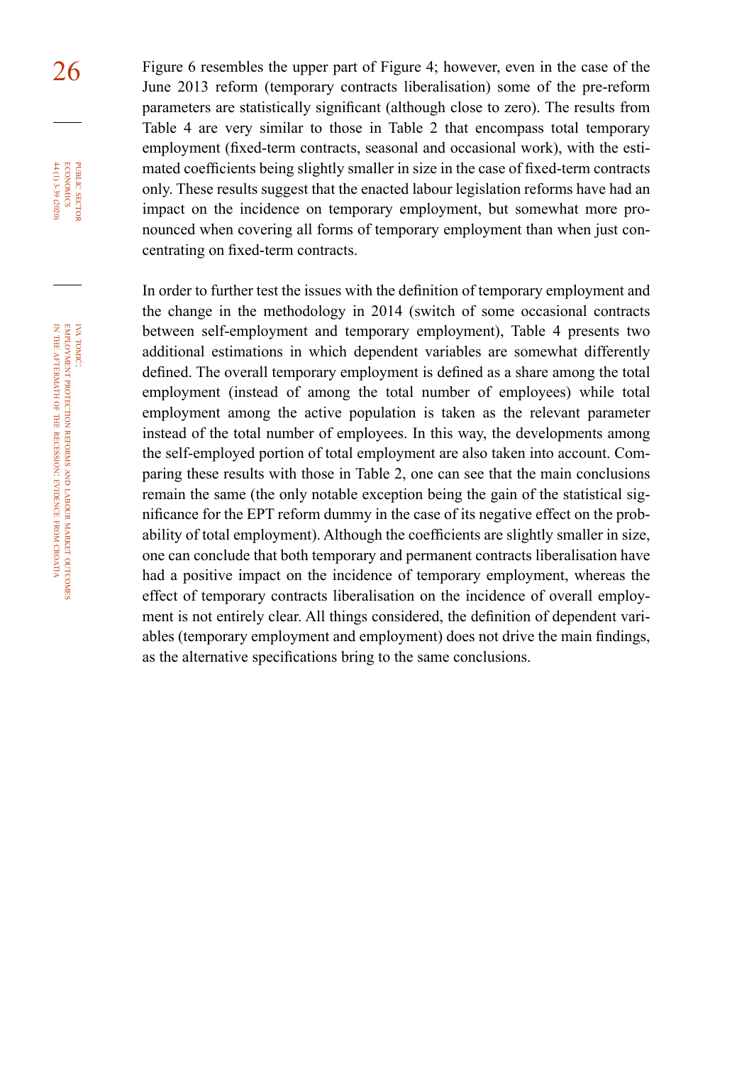26 Figure 6 resembles the upper part of Figure 4; however, even in the case of the June 2013 reform (temporary contracts liberalisation) some of the pre-reform parameters are statistically significant (although close to zero). The results from Table 4 are very similar to those in Table 2 that encompass total temporary employment (fixed-term contracts, seasonal and occasional work), with the estimated coefficients being slightly smaller in size in the case of fixed-term contracts only. These results suggest that the enacted labour legislation reforms have had an impact on the incidence on temporary employment, but somewhat more pronounced when covering all forms of temporary employment than when just concentrating on fixed-term contracts.

> In order to further test the issues with the definition of temporary employment and the change in the methodology in 2014 (switch of some occasional contracts between self-employment and temporary employment), Table 4 presents two additional estimations in which dependent variables are somewhat differently defined. The overall temporary employment is defined as a share among the total employment (instead of among the total number of employees) while total employment among the active population is taken as the relevant parameter instead of the total number of employees. In this way, the developments among the self-employed portion of total employment are also taken into account. Comparing these results with those in Table 2, one can see that the main conclusions remain the same (the only notable exception being the gain of the statistical significance for the EPT reform dummy in the case of its negative effect on the probability of total employment). Although the coefficients are slightly smaller in size, one can conclude that both temporary and permanent contracts liberalisation have had a positive impact on the incidence of temporary employment, whereas the effect of temporary contracts liberalisation on the incidence of overall employment is not entirely clear. All things considered, the definition of dependent variables (temporary employment and employment) does not drive the main findings, as the alternative specifications bring to the same conclusions.

iva tomić:

public

**ECONOMICS** 44 (1) 3-39 (2020) PUBLIC SECTOR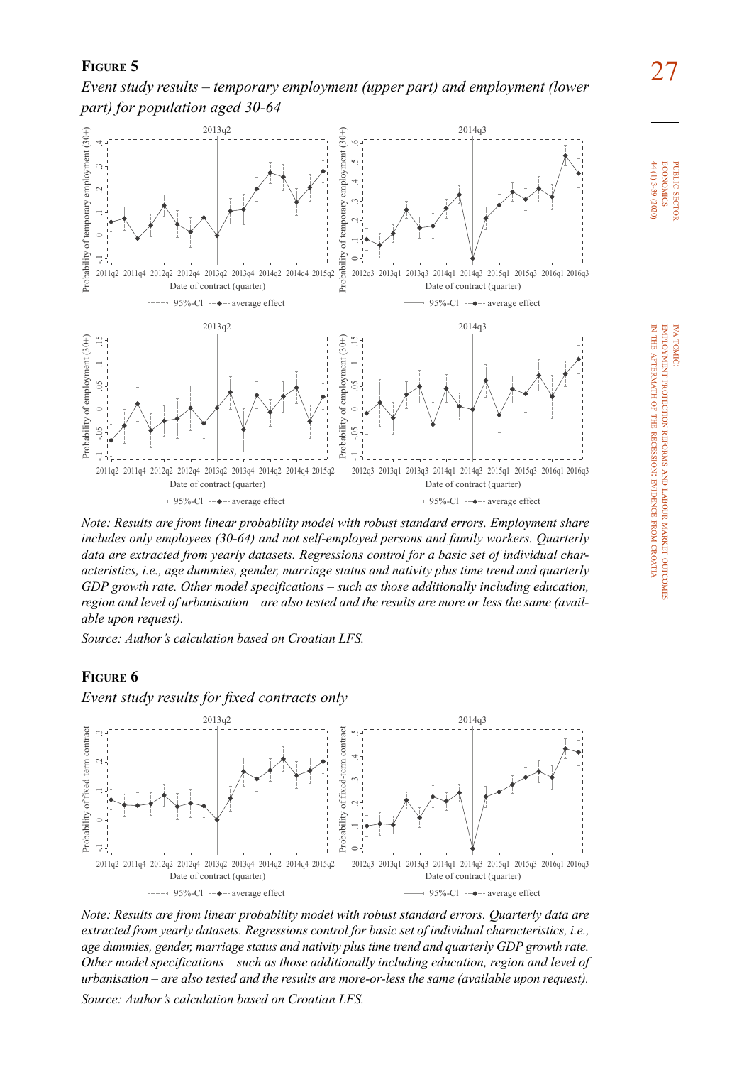27 **Figure 5**  *Event study results – temporary employment (upper part) and employment (lower part) for population aged 30-64* 



*Note: Results are from linear probability model with robust standard errors. Employment share includes only employees (30-64) and not self-employed persons and family workers. Quarterly data are extracted from yearly datasets. Regressions control for a basic set of individual characteristics, i.e., age dummies, gender, marriage status and nativity plus time trend and quarterly GDP growth rate. Other model specifications – such as those additionally including education, region and level of urbanisation – are also tested and the results are more or less the same (available upon request).*

*Source: Author's calculation based on Croatian LFS.*

### **Figure 6**



*Note: Results are from linear probability model with robust standard errors. Quarterly data are extracted from yearly datasets. Regressions control for basic set of individual characteristics, i.e., age dummies, gender, marriage status and nativity plus time trend and quarterly GDP growth rate. Other model specifications – such as those additionally including education, region and level of urbanisation – are also tested and the results are more-or-less the same (available upon request). Source: Author's calculation based on Croatian LFS.*

**ECONOMICS**  $44(1)$  3-39 (2020) 44 (1) 3-39 (2020) economics PUBLIC SECTOI public sector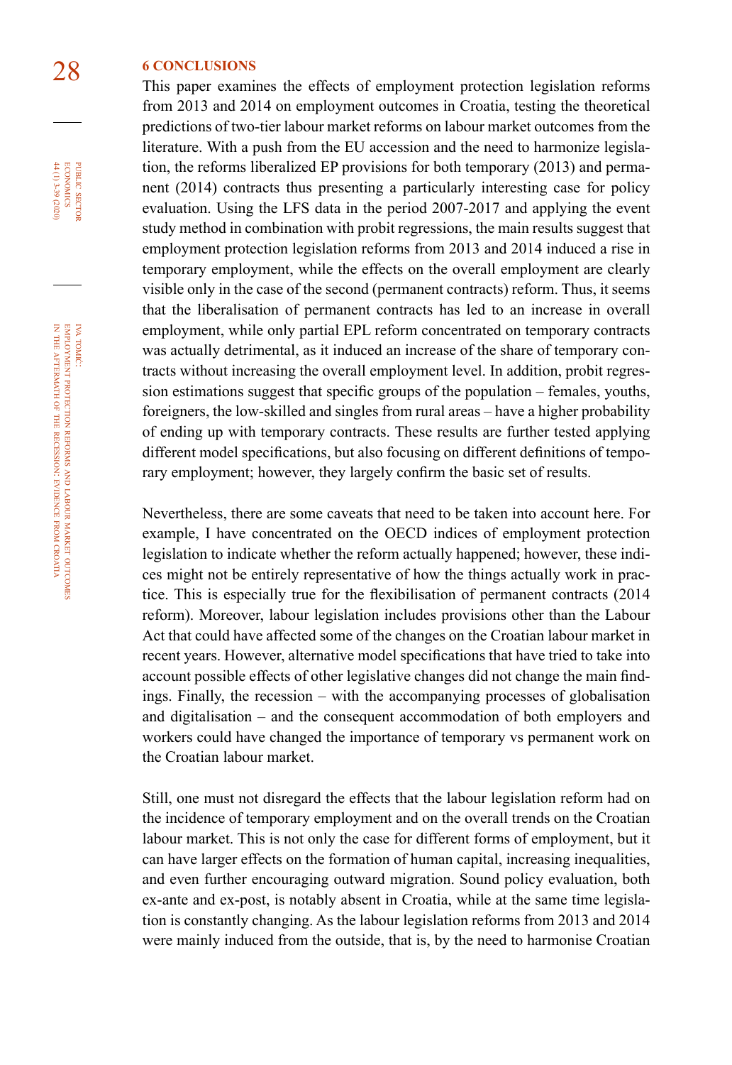## 28 **6 CONCLUSIONS**

This paper examines the effects of employment protection legislation reforms from 2013 and 2014 on employment outcomes in Croatia, testing the theoretical predictions of two-tier labour market reforms on labour market outcomes from the literature. With a push from the EU accession and the need to harmonize legislation, the reforms liberalized EP provisions for both temporary (2013) and permanent (2014) contracts thus presenting a particularly interesting case for policy evaluation. Using the LFS data in the period 2007-2017 and applying the event study method in combination with probit regressions, the main results suggest that employment protection legislation reforms from 2013 and 2014 induced a rise in temporary employment, while the effects on the overall employment are clearly visible only in the case of the second (permanent contracts) reform. Thus, it seems that the liberalisation of permanent contracts has led to an increase in overall employment, while only partial EPL reform concentrated on temporary contracts was actually detrimental, as it induced an increase of the share of temporary contracts without increasing the overall employment level. In addition, probit regression estimations suggest that specific groups of the population – females, youths, foreigners, the low-skilled and singles from rural areas – have a higher probability of ending up with temporary contracts. These results are further tested applying different model specifications, but also focusing on different definitions of temporary employment; however, they largely confirm the basic set of results.

Nevertheless, there are some caveats that need to be taken into account here. For example, I have concentrated on the OECD indices of employment protection legislation to indicate whether the reform actually happened; however, these indices might not be entirely representative of how the things actually work in practice. This is especially true for the flexibilisation of permanent contracts (2014 reform). Moreover, labour legislation includes provisions other than the Labour Act that could have affected some of the changes on the Croatian labour market in recent years. However, alternative model specifications that have tried to take into account possible effects of other legislative changes did not change the main findings. Finally, the recession – with the accompanying processes of globalisation and digitalisation – and the consequent accommodation of both employers and workers could have changed the importance of temporary vs permanent work on the Croatian labour market.

Still, one must not disregard the effects that the labour legislation reform had on the incidence of temporary employment and on the overall trends on the Croatian labour market. This is not only the case for different forms of employment, but it can have larger effects on the formation of human capital, increasing inequalities, and even further encouraging outward migration. Sound policy evaluation, both ex-ante and ex-post, is notably absent in Croatia, while at the same time legislation is constantly changing. As the labour legislation reforms from 2013 and 2014 were mainly induced from the outside, that is, by the need to harmonise Croatian

44 (1) 3-39 (2020) **ECONOMICS** PUBLIC SECTOR 44 (1) 3-39 (2020) economics public sector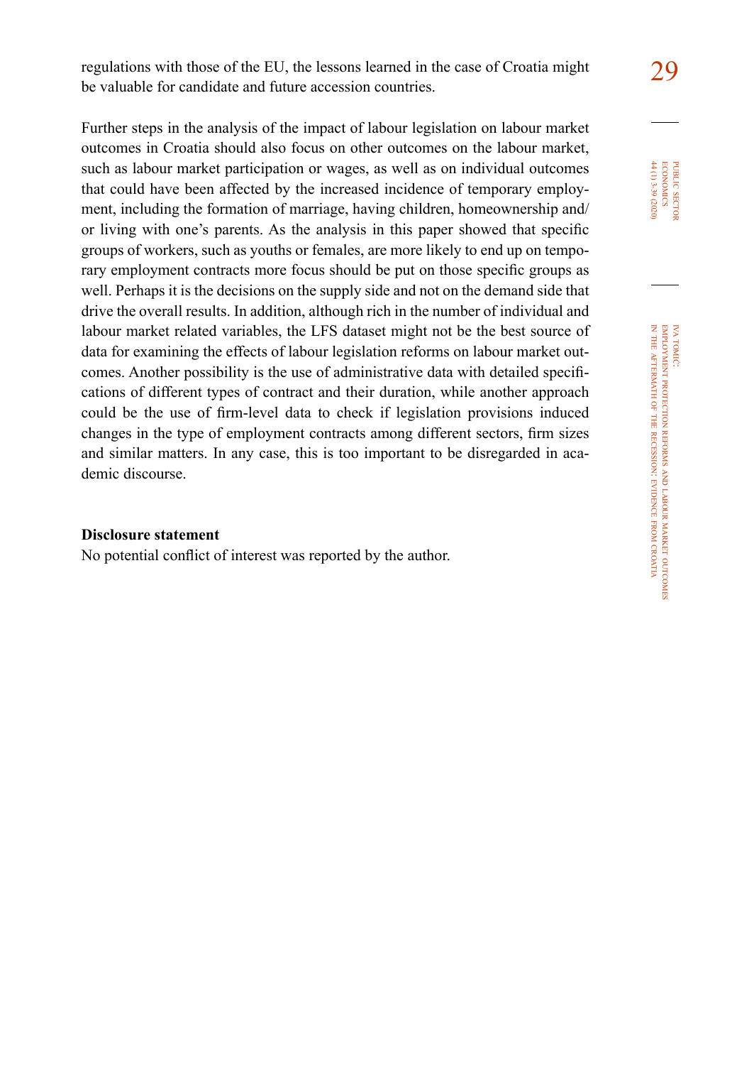regulations with those of the EU, the lessons learned in the case of Croatia might 29 be valuable for candidate and future accession countries.

Further steps in the analysis of the impact of labour legislation on labour market outcomes in Croatia should also focus on other outcomes on the labour market, such as labour market participation or wages, as well as on individual outcomes that could have been affected by the increased incidence of temporary employment, including the formation of marriage, having children, homeownership and/ or living with one's parents. As the analysis in this paper showed that specific groups of workers, such as youths or females, are more likely to end up on temporary employment contracts more focus should be put on those specific groups as well. Perhaps it is the decisions on the supply side and not on the demand side that drive the overall results. In addition, although rich in the number of individual and labour market related variables, the LFS dataset might not be the best source of data for examining the effects of labour legislation reforms on labour market outcomes. Another possibility is the use of administrative data with detailed specifications of different types of contract and their duration, while another approach could be the use of firm-level data to check if legislation provisions induced changes in the type of employment contracts among different sectors, firm sizes and similar matters. In any case, this is too important to be disregarded in academic discourse.

#### **Disclosure statement**

No potential conflict of interest was reported by the author.

 $44(1)$  3-39 (2020) **ECONOMICS** PUBLIC SECTOR 44 (1) 3-39 (2020) economics public sector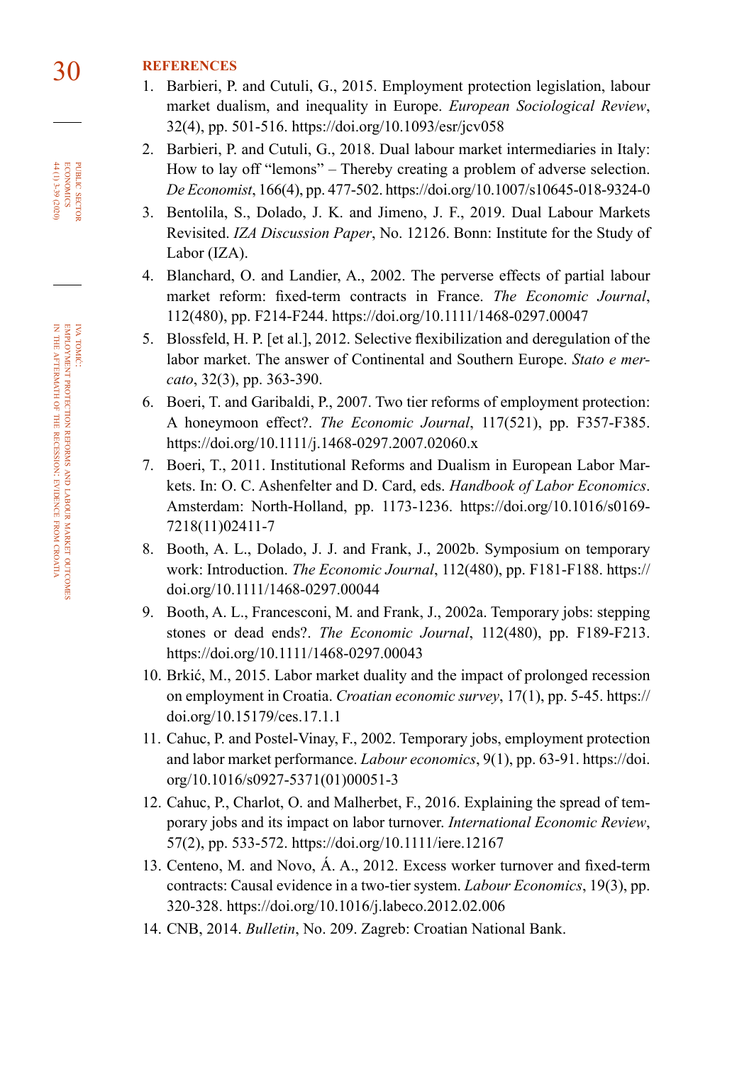## 30 **REFERENCES**

- 1. Barbieri, P. and Cutuli, G., 2015. Employment protection legislation, labour market dualism, and inequality in Europe. *European Sociological Review*, 32(4), pp. 501-516. <https://doi.org/10.1093/esr/jcv058>
- 2. Barbieri, P. and Cutuli, G., 2018. Dual labour market intermediaries in Italy: How to lay off "lemons" – Thereby creating a problem of adverse selection. *De Economist*, 166(4), pp. 477-502.<https://doi.org/10.1007/s10645-018-9324-0>
- 3. Bentolila, S., Dolado, J. K. and Jimeno, J. F., 2019. Dual Labour Markets Revisited. *[IZA Discussion Paper](http://ftp.iza.org/dp12126.pdf)*, No. 12126. Bonn: Institute for the Study of Labor (IZA).
- 4. Blanchard, O. and Landier, A., 2002. The perverse effects of partial labour market reform: fixed-term contracts in France. *The Economic Journal*, 112(480), pp. F214-F244.<https://doi.org/10.1111/1468-0297.00047>
- 5. Blossfeld, H. P. [et al.], 2012. Selective flexibilization and deregulation of the labor market. The answer of Continental and Southern Europe. *Stato e mercato*, 32(3), pp. 363-390.
- 6. Boeri, T. and Garibaldi, P., 2007. Two tier reforms of employment protection: A honeymoon effect?. *The Economic Journal*, 117(521), pp. F357-F385. <https://doi.org/10.1111/j.1468-0297.2007.02060.x>
- 7. Boeri, T., 2011. Institutional Reforms and Dualism in European Labor Markets. In: O. C. Ashenfelter and D. Card, eds. *Handbook of Labor Economics*. Amsterdam: North-Holland, pp. 1173-1236. [https://doi.org/10.1016/s0169-](https://doi.org/10.1016/s0169-7218(11)02411-7) [7218\(11\)02411-7](https://doi.org/10.1016/s0169-7218(11)02411-7)
- 8. Booth, A. L., Dolado, J. J. and Frank, J., 2002b. Symposium on temporary work: Introduction. *The Economic Journal*, 112(480), pp. F181-F188. [https://](https://doi.org/10.1111/1468-0297.00044) [doi.org/10.1111/1468-0297.00044](https://doi.org/10.1111/1468-0297.00044)
- 9. Booth, A. L., Francesconi, M. and Frank, J., 2002a. Temporary jobs: stepping stones or dead ends?. *The Economic Journal*, 112(480), pp. F189-F213. <https://doi.org/10.1111/1468-0297.00043>
- 10. Brkić, M., 2015. Labor market duality and the impact of prolonged recession on employment in Croatia. *Croatian economic survey*, 17(1), pp. 5-45. [https://](https://doi.org/10.15179/ces.17.1.1) [doi.org/10.15179/ces.17.1.1](https://doi.org/10.15179/ces.17.1.1)
- 11. Cahuc, P. and Postel-Vinay, F., 2002. Temporary jobs, employment protection and labor market performance. *Labour economics*, 9(1), pp. 63-91. [https://doi.](https://doi.org/10.1016/s0927-5371(01)00051-3) [org/10.1016/s0927-5371\(01\)00051-3](https://doi.org/10.1016/s0927-5371(01)00051-3)
- 12. Cahuc, P., Charlot, O. and Malherbet, F., 2016. Explaining the spread of temporary jobs and its impact on labor turnover. *International Economic Review*, 57(2), pp. 533-572. <https://doi.org/10.1111/iere.12167>
- 13. Centeno, M. and Novo, Á. A., 2012. Excess worker turnover and fixed-term contracts: Causal evidence in a two-tier system. *Labour Economics*, 19(3), pp. 320-328. <https://doi.org/10.1016/j.labeco.2012.02.006>
- 14. CNB, 2014. *Bulletin*[, No. 209](http://old.hnb.hr/publikac/bilten/arhiv/bilten-209/ebilt209.pdf). Zagreb: Croatian National Bank.

PUBLIC SECTOR<br>ECONOMICS 44 (1) 3-39 (2020) 44 (1) 3-39 (2020) economics public sector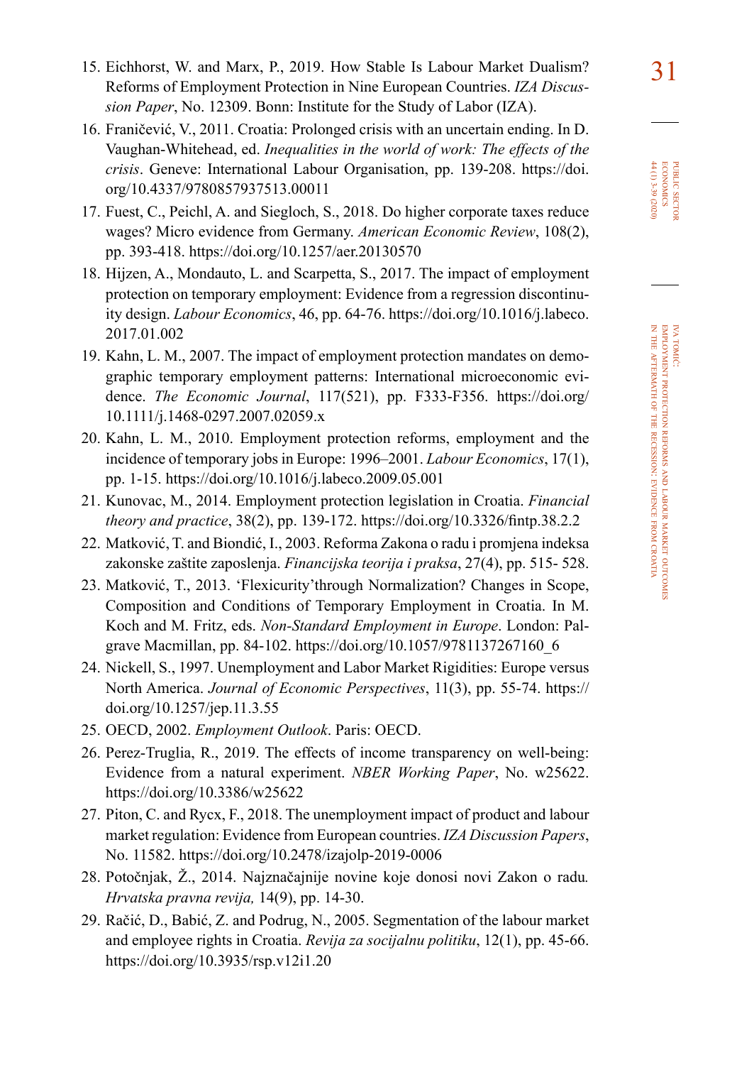- 15. Eichhorst, W. and Marx, P., 2019. How Stable Is Labour Market Dualism? 31 Reforms of Employment Protection in Nine European Countries. *[IZA Discus](http://ftp.iza.org/dp12309.pdf)sion Paper*[, No. 12309](http://ftp.iza.org/dp12309.pdf). Bonn: Institute for the Study of Labor (IZA).
- 16. Franičević, V., 2011. Croatia: Prolonged crisis with an uncertain ending. In D. Vaughan-Whitehead, ed. *Inequalities in the world of work: The effects of the crisis*. Geneve: International Labour Organisation, pp. 139-208. [https://doi.](https://doi.org/10.4337/9780857937513.00011) [org/10.4337/9780857937513.00011](https://doi.org/10.4337/9780857937513.00011)
- 17. Fuest, C., Peichl, A. and Siegloch, S., 2018. Do higher corporate taxes reduce wages? Micro evidence from Germany. *American Economic Review*, 108(2), pp. 393-418. <https://doi.org/10.1257/aer.20130570>
- 18. Hijzen, A., Mondauto, L. and Scarpetta, S., 2017. The impact of employment protection on temporary employment: Evidence from a regression discontinuity design. *Labour Economics*, 46, pp. 64-76. [https://doi.org/10.1016/j.labeco.](https://doi.org/10.1016/j.labeco.2017.01.002) [2017.01.002](https://doi.org/10.1016/j.labeco.2017.01.002)
- 19. Kahn, L. M., 2007. The impact of employment protection mandates on demographic temporary employment patterns: International microeconomic evidence. *The Economic Journal*, 117(521), pp. F333-F356. [https://doi.org/](https://doi.org/10.1111/j.1468-0297.2007.02059.x) [10.1111/j.1468-0297.2007.02059.x](https://doi.org/10.1111/j.1468-0297.2007.02059.x)
- 20. Kahn, L. M., 2010. Employment protection reforms, employment and the incidence of temporary jobs in Europe: 1996–2001. *Labour Economics*, 17(1), pp. 1-15. <https://doi.org/10.1016/j.labeco.2009.05.001>
- 21. Kunovac, M., 2014. Employment protection legislation in Croatia. *Financial theory and practice*, 38(2), pp. 139-172. <https://doi.org/10.3326/fintp.38.2.2>
- 22. Matković, T. and Biondić, I., 2003. Reforma Zakona o radu i promjena indeksa zakonske zaštite zaposlenja. *[Financijska teorija i praksa](http://www.ijf.hr/FTP/2003/4/matkovic-biondic.pdf)*, 27(4), pp. 515- 528.
- 23. Matković, T., 2013. 'Flexicurity'through Normalization? Changes in Scope, Composition and Conditions of Temporary Employment in Croatia. In M. Koch and M. Fritz, eds. *Non-Standard Employment in Europe*. London: Palgrave Macmillan, pp. 84-102. [https://doi.org/10.1057/9781137267160\\_6](https://doi.org/10.1057/9781137267160_6)
- 24. Nickell, S., 1997. Unemployment and Labor Market Rigidities: Europe versus North America. *Journal of Economic Perspectives*, 11(3), pp. 55-74. [https://](https://doi.org/10.1257/jep.11.3.55) [doi.org/10.1257/jep.11.3.55](https://doi.org/10.1257/jep.11.3.55)
- 25. OECD, 2002. *Employment Outlook*. Paris: OECD.
- 26. Perez-Truglia, R., 2019. The effects of income transparency on well-being: Evidence from a natural experiment. *NBER Working Paper*, No. w25622. <https://doi.org/10.3386/w25622>
- 27. Piton, C. and Rycx, F., 2018. The unemployment impact of product and labour market regulation: Evidence from European countries. *IZA Discussion Papers*, No. 11582.<https://doi.org/10.2478/izajolp-2019-0006>
- 28. Potočnjak, Ž., 2014. Najznačajnije novine koje donosi novi Zakon o radu*. Hrvatska pravna revija,* 14(9), pp. 14-30.
- 29. Račić, D., Babić, Z. and Podrug, N., 2005. Segmentation of the labour market and employee rights in Croatia. *Revija za socijalnu politiku*, 12(1), pp. 45-66. <https://doi.org/10.3935/rsp.v12i1.20>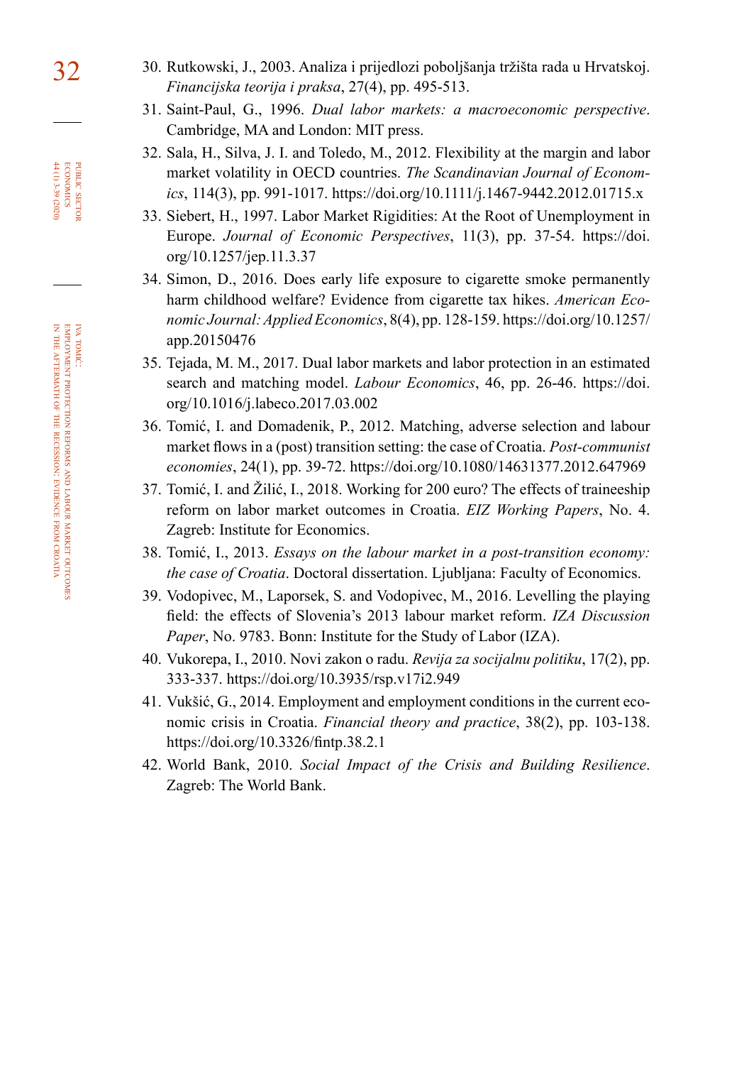- 32 30. Rutkowski, J., 2003. Analiza i prijedlozi poboljšanja tržišta rada u Hrvatskoj. *[Financijska teorija i praksa](https://hrcak.srce.hr/5768)*, 27(4), pp. 495-513.
	- 31. Saint-Paul, G., 1996. *Dual labor markets: a macroeconomic perspective*. Cambridge, MA and London: MIT press.
	- 32. Sala, H., Silva, J. I. and Toledo, M., 2012. Flexibility at the margin and labor market volatility in OECD countries. *The Scandinavian Journal of Economics*, 114(3), pp. 991-1017.<https://doi.org/10.1111/j.1467-9442.2012.01715.x>
	- 33. Siebert, H., 1997. Labor Market Rigidities: At the Root of Unemployment in Europe. *Journal of Economic Perspectives*, 11(3), pp. 37-54. [https://doi.](https://doi.org/10.1257/jep.11.3.37) [org/10.1257/jep.11.3.37](https://doi.org/10.1257/jep.11.3.37)
	- 34. Simon, D., 2016. Does early life exposure to cigarette smoke permanently harm childhood welfare? Evidence from cigarette tax hikes. *American Economic Journal: Applied Economics*, 8(4), pp. 128-159. [https://doi.org/10.1257/](https://doi.org/10.1257/app.20150476) [app.20150476](https://doi.org/10.1257/app.20150476)
	- 35. Tejada, M. M., 2017. Dual labor markets and labor protection in an estimated search and matching model. *Labour Economics*, 46, pp. 26-46. [https://doi.](https://doi.org/10.1016/j.labeco.2017.03.002) [org/10.1016/j.labeco.2017.03.002](https://doi.org/10.1016/j.labeco.2017.03.002)
	- 36. Tomić, I. and Domadenik, P., 2012. Matching, adverse selection and labour market flows in a (post) transition setting: the case of Croatia. *Post-communist economies*, 24(1), pp. 39-72. <https://doi.org/10.1080/14631377.2012.647969>
	- 37. Tomić, I. and Žilić, I., 2018. Working for 200 euro? The effects of traineeship reform on labor market outcomes in Croatia. *[EIZ Working Papers](https://hrcak.srce.hr/204376)*, No. 4. Zagreb: Institute for Economics.
	- 38. Tomić, I., 2013. *Essays on the labour market in a post-transition economy: the case of Croatia*. Doctoral dissertation. Ljubljana: Faculty of Economics.
	- 39. Vodopivec, M., Laporsek, S. and Vodopivec, M., 2016. Levelling the playing field: the effects of Slovenia's 2013 labour market reform. *[IZA Discussion](http://ftp.iza.org/dp9783.pdf)  Paper*[, No. 9783.](http://ftp.iza.org/dp9783.pdf) Bonn: Institute for the Study of Labor (IZA).
	- 40. Vukorepa, I., 2010. Novi zakon o radu. *Revija za socijalnu politiku*, 17(2), pp. 333-337. <https://doi.org/10.3935/rsp.v17i2.949>
	- 41. Vukšić, G., 2014. Employment and employment conditions in the current economic crisis in Croatia. *Financial theory and practice*, 38(2), pp. 103-138. <https://doi.org/10.3326/fintp.38.2.1>
	- 42. World Bank, 2010. *Social Impact of the Crisis and Building Resilience*. Zagreb: The World Bank.

PUBLIC SECTOR<br>ECONOMICS  $44(1)3-39(202)$ 44 (1) 3-39 (2020) economics public sector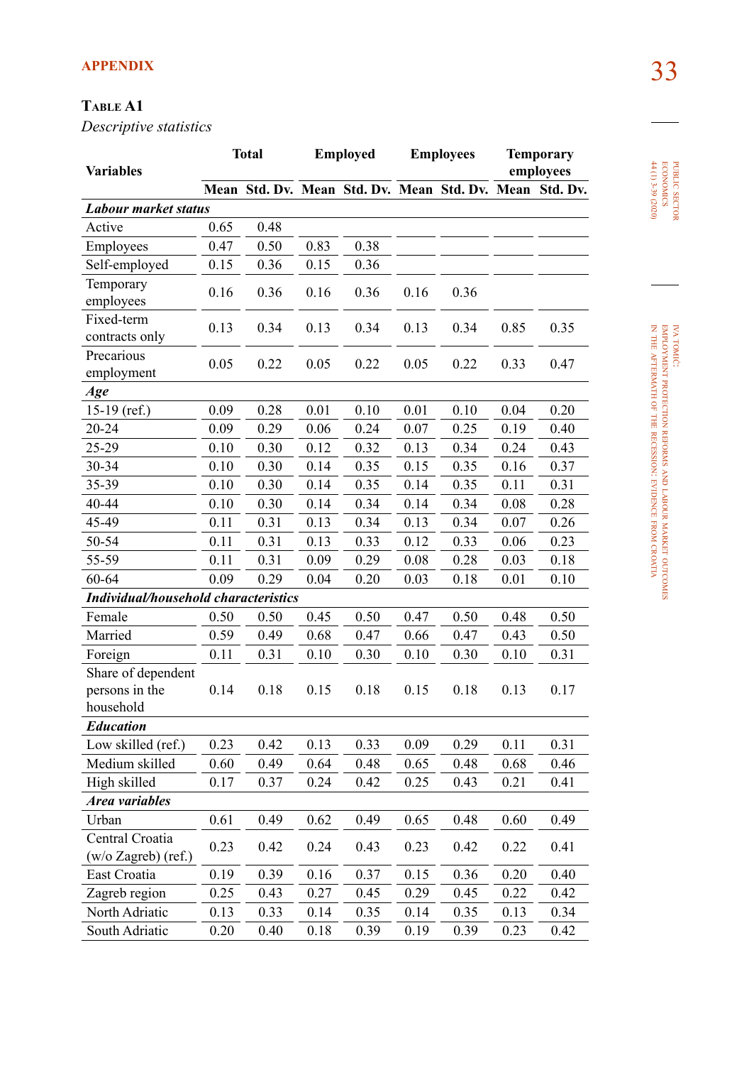# 33 **APPENDIX**

### **Table A1**

*Descriptive statistics*

| Variables                                         |      | <b>Total</b>                                            |      | <b>Employed</b> |      | <b>Employees</b> |      | <b>Temporary</b><br>employees |
|---------------------------------------------------|------|---------------------------------------------------------|------|-----------------|------|------------------|------|-------------------------------|
|                                                   |      | Mean Std. Dv. Mean Std. Dv. Mean Std. Dv. Mean Std. Dv. |      |                 |      |                  |      |                               |
| Labour market status                              |      |                                                         |      |                 |      |                  |      |                               |
| Active                                            | 0.65 | 0.48                                                    |      |                 |      |                  |      |                               |
| Employees                                         | 0.47 | 0.50                                                    | 0.83 | 0.38            |      |                  |      |                               |
| Self-employed                                     | 0.15 | 0.36                                                    | 0.15 | 0.36            |      |                  |      |                               |
| Temporary<br>employees                            | 0.16 | 0.36                                                    | 0.16 | 0.36            | 0.16 | 0.36             |      |                               |
| Fixed-term<br>contracts only                      | 0.13 | 0.34                                                    | 0.13 | 0.34            | 0.13 | 0.34             | 0.85 | 0.35                          |
| Precarious<br>employment                          | 0.05 | 0.22                                                    | 0.05 | 0.22            | 0.05 | 0.22             | 0.33 | 0.47                          |
| Age                                               |      |                                                         |      |                 |      |                  |      |                               |
| $15-19$ (ref.)                                    | 0.09 | 0.28                                                    | 0.01 | 0.10            | 0.01 | 0.10             | 0.04 | 0.20                          |
| $20 - 24$                                         | 0.09 | 0.29                                                    | 0.06 | 0.24            | 0.07 | 0.25             | 0.19 | 0.40                          |
| 25-29                                             | 0.10 | 0.30                                                    | 0.12 | 0.32            | 0.13 | 0.34             | 0.24 | 0.43                          |
| 30-34                                             | 0.10 | 0.30                                                    | 0.14 | 0.35            | 0.15 | 0.35             | 0.16 | 0.37                          |
| 35-39                                             | 0.10 | 0.30                                                    | 0.14 | 0.35            | 0.14 | 0.35             | 0.11 | 0.31                          |
| 40-44                                             | 0.10 | 0.30                                                    | 0.14 | 0.34            | 0.14 | 0.34             | 0.08 | 0.28                          |
| 45-49                                             | 0.11 | 0.31                                                    | 0.13 | 0.34            | 0.13 | 0.34             | 0.07 | 0.26                          |
| 50-54                                             | 0.11 | 0.31                                                    | 0.13 | 0.33            | 0.12 | 0.33             | 0.06 | 0.23                          |
| 55-59                                             | 0.11 | 0.31                                                    | 0.09 | 0.29            | 0.08 | 0.28             | 0.03 | 0.18                          |
| 60-64                                             | 0.09 | 0.29                                                    | 0.04 | 0.20            | 0.03 | 0.18             | 0.01 | 0.10                          |
| Individual/household characteristics              |      |                                                         |      |                 |      |                  |      |                               |
| Female                                            | 0.50 | 0.50                                                    | 0.45 | 0.50            | 0.47 | 0.50             | 0.48 | 0.50                          |
| Married                                           | 0.59 | 0.49                                                    | 0.68 | 0.47            | 0.66 | 0.47             | 0.43 | 0.50                          |
| Foreign                                           | 0.11 | 0.31                                                    | 0.10 | 0.30            | 0.10 | 0.30             | 0.10 | 0.31                          |
| Share of dependent<br>persons in the<br>household | 0.14 | 0.18                                                    | 0.15 | 0.18            | 0.15 | 0.18             | 0.13 | 0.17                          |
| <b>Education</b>                                  |      |                                                         |      |                 |      |                  |      |                               |
| Low skilled (ref.)                                | 0.23 | 0.42                                                    | 0.13 | 0.33            | 0.09 | 0.29             | 0.11 | 0.31                          |
| Medium skilled                                    | 0.60 | 0.49                                                    | 0.64 | 0.48            | 0.65 | 0.48             | 0.68 | 0.46                          |
| High skilled                                      | 0.17 | 0.37                                                    | 0.24 | 0.42            | 0.25 | 0.43             | 0.21 | 0.41                          |
| Area variables                                    |      |                                                         |      |                 |      |                  |      |                               |
| Urban                                             | 0.61 | 0.49                                                    | 0.62 | 0.49            | 0.65 | 0.48             | 0.60 | 0.49                          |
| Central Croatia<br>(w/o Zagreb) (ref.)            | 0.23 | 0.42                                                    | 0.24 | 0.43            | 0.23 | 0.42             | 0.22 | 0.41                          |
| East Croatia                                      | 0.19 | 0.39                                                    | 0.16 | 0.37            | 0.15 | 0.36             | 0.20 | 0.40                          |
| Zagreb region                                     | 0.25 | 0.43                                                    | 0.27 | 0.45            | 0.29 | 0.45             | 0.22 | 0.42                          |
| North Adriatic                                    | 0.13 | 0.33                                                    | 0.14 | 0.35            | 0.14 | 0.35             | 0.13 | 0.34                          |
| South Adriatic                                    | 0.20 | 0.40                                                    | 0.18 | 0.39            | 0.19 | 0.39             | 0.23 | 0.42                          |

**PUBLIC SECTOR**<br>ECONOMICS<br>44 (1) 3-39 (2020) 44 (1) 3-39 (2020) economics public sector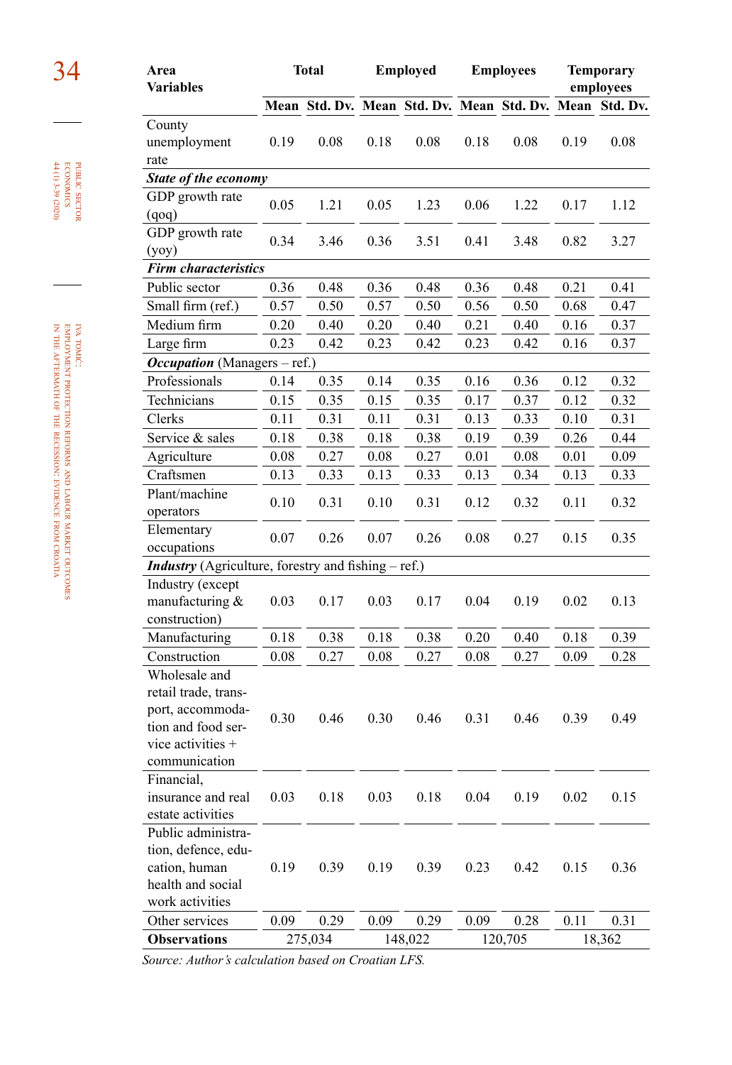| Area<br>Variables                                          |          | <b>Total</b> |      | <b>Employed</b>                           |      | <b>Employees</b> |      | <b>Temporary</b><br>employees |
|------------------------------------------------------------|----------|--------------|------|-------------------------------------------|------|------------------|------|-------------------------------|
|                                                            |          |              |      | Mean Std. Dv. Mean Std. Dv. Mean Std. Dv. |      |                  |      | Mean Std. Dv.                 |
| County                                                     |          |              |      |                                           |      |                  |      |                               |
| unemployment                                               | 0.19     | 0.08         | 0.18 | 0.08                                      | 0.18 | 0.08             | 0.19 | 0.08                          |
| rate                                                       |          |              |      |                                           |      |                  |      |                               |
| State of the economy                                       |          |              |      |                                           |      |                  |      |                               |
| GDP growth rate                                            | 0.05     | 1.21         | 0.05 | 1.23                                      | 0.06 | 1.22             | 0.17 | 1.12                          |
| (qoq)                                                      |          |              |      |                                           |      |                  |      |                               |
| GDP growth rate                                            | 0.34     | 3.46         | 0.36 | 3.51                                      | 0.41 | 3.48             | 0.82 | 3.27                          |
| (yoy)                                                      |          |              |      |                                           |      |                  |      |                               |
| <b>Firm characteristics</b>                                |          |              |      |                                           |      |                  |      |                               |
| Public sector                                              | 0.36     | 0.48         | 0.36 | 0.48                                      | 0.36 | 0.48             | 0.21 | 0.41                          |
| Small firm (ref.)                                          | 0.57     | 0.50         | 0.57 | 0.50                                      | 0.56 | 0.50             | 0.68 | 0.47                          |
| Medium firm                                                | 0.20     | 0.40         | 0.20 | 0.40                                      | 0.21 | 0.40             | 0.16 | 0.37                          |
| Large firm                                                 | 0.23     | 0.42         | 0.23 | 0.42                                      | 0.23 | 0.42             | 0.16 | 0.37                          |
| Occupation (Managers - ref.)                               |          |              |      |                                           |      |                  |      |                               |
| Professionals                                              | 0.14     | 0.35         | 0.14 | 0.35                                      | 0.16 | 0.36             | 0.12 | 0.32                          |
| Technicians                                                | 0.15     | 0.35         | 0.15 | 0.35                                      | 0.17 | 0.37             | 0.12 | 0.32                          |
| Clerks                                                     | 0.11     | 0.31         | 0.11 | 0.31                                      | 0.13 | 0.33             | 0.10 | 0.31                          |
| Service & sales                                            | 0.18     | 0.38         | 0.18 | 0.38                                      | 0.19 | 0.39             | 0.26 | 0.44                          |
| Agriculture                                                | $0.08\,$ | 0.27         | 0.08 | 0.27                                      | 0.01 | $0.08\,$         | 0.01 | 0.09                          |
| Craftsmen                                                  | 0.13     | 0.33         | 0.13 | 0.33                                      | 0.13 | 0.34             | 0.13 | 0.33                          |
| Plant/machine                                              |          | 0.31         | 0.10 |                                           | 0.12 | 0.32             |      |                               |
| operators                                                  | 0.10     |              |      | 0.31                                      |      |                  | 0.11 | 0.32                          |
| Elementary                                                 | 0.07     | 0.26         | 0.07 | 0.26                                      | 0.08 | 0.27             | 0.15 | 0.35                          |
| occupations                                                |          |              |      |                                           |      |                  |      |                               |
| <b>Industry</b> (Agriculture, forestry and fishing - ref.) |          |              |      |                                           |      |                  |      |                               |
| Industry (except                                           |          |              |      |                                           |      |                  |      |                               |
| manufacturing &                                            | 0.03     | 0.17         | 0.03 | 0.17                                      | 0.04 | 0.19             | 0.02 | 0.13                          |
| construction)                                              |          |              |      |                                           |      |                  |      |                               |
| Manufacturing                                              | 0.18     | 0.38         | 0.18 | 0.38                                      | 0.20 | 0.40             | 0.18 | 0.39                          |
| Construction                                               | 0.08     | 0.27         | 0.08 | 0.27                                      | 0.08 | 0.27             | 0.09 | 0.28                          |
| Wholesale and                                              |          |              |      |                                           |      |                  |      |                               |
| retail trade, trans-                                       |          |              |      |                                           |      |                  |      |                               |
| port, accommoda-                                           | 0.30     | 0.46         | 0.30 | 0.46                                      | 0.31 | 0.46             | 0.39 | 0.49                          |
| tion and food ser-<br>vice activities +                    |          |              |      |                                           |      |                  |      |                               |
| communication                                              |          |              |      |                                           |      |                  |      |                               |
| Financial,                                                 |          |              |      |                                           |      |                  |      |                               |
| insurance and real                                         | 0.03     | 0.18         | 0.03 | 0.18                                      | 0.04 | 0.19             | 0.02 | 0.15                          |
| estate activities                                          |          |              |      |                                           |      |                  |      |                               |
| Public administra-                                         |          |              |      |                                           |      |                  |      |                               |
| tion, defence, edu-                                        |          |              |      |                                           |      |                  |      |                               |
| cation, human                                              | 0.19     | 0.39         | 0.19 | 0.39                                      | 0.23 | 0.42             | 0.15 | 0.36                          |
| health and social                                          |          |              |      |                                           |      |                  |      |                               |
| work activities                                            |          |              |      |                                           |      |                  |      |                               |
| Other services                                             | 0.09     | 0.29         | 0.09 | 0.29                                      | 0.09 | 0.28             | 0.11 | 0.31                          |
| <b>Observations</b>                                        |          | 275,034      |      | 148,022                                   |      | 120,705          |      | 18,362                        |

*Source: Author's calculation based on Croatian LFS.*

employment protection reforms and labour market outcomes in the aftermath of the the recession: evidence from croatia

iva tomić:

#### **PUBLIC SECTOR**<br>ECONOMICS<br>H4 (1) 3-39 (2020) 44 (1) 3-39 (2020) economics public sector

34 **Area**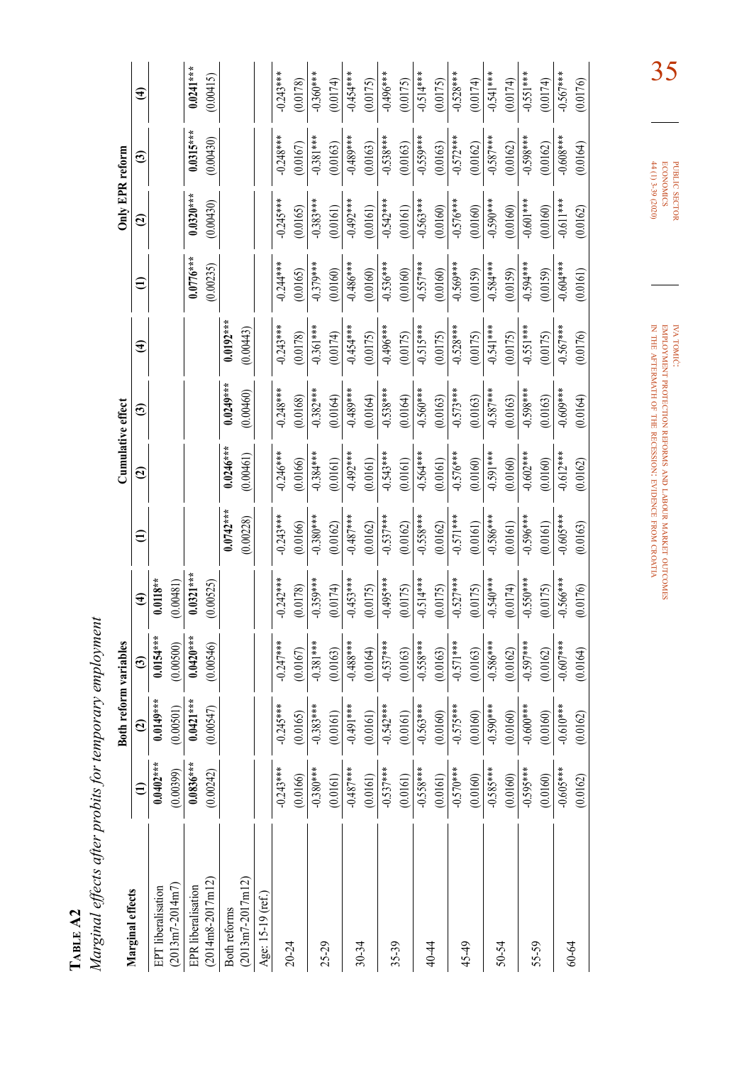Marginal effects after probits for temporary employment *Marginal effects after probits for temporary employment* 

|                      |               | Both reform variables |              |                        |                      | Cumulative effect |             |                        |               | Only EPR reform |             |                        |
|----------------------|---------------|-----------------------|--------------|------------------------|----------------------|-------------------|-------------|------------------------|---------------|-----------------|-------------|------------------------|
| Marginal effects     | $\widehat{E}$ | $\mathbf{G}$          | ල            | $\widehat{\mathbf{f}}$ | $\widehat{\epsilon}$ | $\mathbf{G}$      | ල           | $\widehat{\mathbf{f}}$ | $\widehat{=}$ | $\mathbf{G}$    | ම           | $\widehat{\mathbf{f}}$ |
| EPT liberalisation   | $0.0402**$    | $0.0149***$           | $0.0154***$  | $0.0118**$             |                      |                   |             |                        |               |                 |             |                        |
| $(2013m7 - 2014m7)$  | (0.00399)     | (0.00501)             | (0.00500)    | (0.00481)              |                      |                   |             |                        |               |                 |             |                        |
| EPR liberalisation   | $0.0836***$   | $0.0421***$           | $0.0420**$   | $0.0321***$            |                      |                   |             |                        | $0.0776***$   | $0.0320***$     | $0.0315***$ | $0.0241***$            |
| $(2014ms-2017ml2)$   | (0.00242)     | (0.00547)             | (0.00546)    | (0.00525)              |                      |                   |             |                        | (0.00235)     | (0.00430)       | (0.00430)   | (0.00415)              |
| Both reforms         |               |                       |              |                        | $0.0742***$          | $0.0246***$       | $0.0249***$ | $0.0192***$            |               |                 |             |                        |
| $(2013m7 - 2017m12)$ |               |                       |              |                        | (0.00228)            | (0.00461)         | (0.00460)   | (0.00443)              |               |                 |             |                        |
| Age: 15-19 (ref.)    |               |                       |              |                        |                      |                   |             |                        |               |                 |             |                        |
|                      | $-0.243***$   | $-0.245***$           | $-0.247***$  | $-0.242***$            | $-0.243***$          | $-0.246***$       | $-0.248***$ | $-0.243***$            | $-0.244***$   | $-0.245***$     | $-0.248***$ | $-0.243***$            |
| 20-24                | (0.0166)      | (0.0165)              | (0.0167)     | (0.0178)               | (0.0166)             | (0.0166)          | (0.0168)    | (0.0178)               | (0.0165)      | (0.0165)        | (0.0167)    | (0.0178)               |
|                      | $-0.380***$   | $-0.383***$           | $-0.381***$  | $-0.359***$            | $-0.380***$          | $-0.384***$       | $-0.382***$ | $-0.361***$            | $-0.379***$   | $-0.383***$     | $-0.381***$ | $-0.360***$            |
| 25-29                | (0.0161)      | (0.0161)              | (0.0163)     | (0.0174)               | (0.0162)             | (0.0161)          | (0.0164)    | (0.0174)               | (0.0160)      | (0.0161)        | (0.0163)    | (0.0174)               |
|                      | $-0.487***$   | $-0.491***$           | $-0.488***$  | $-0.453***$            | $-0.487***$          | $-0.492***$       | $-0.489***$ | $-0.454***$            | $-0.486***$   | $-0.492***$     | $-0.489***$ | $-0.454***$            |
| $30 - 34$            | (0.0161)      | (0.0161)              | (0.0164)     | (0.0175)               | (0.0162)             | (0.0161)          | (0.0164)    | (0.0175)               | (0.0160)      | (0.0161)        | (0.0163)    | (0.0175)               |
| 35-39                | $-0.537***$   | $-0.542***$           | $-0.537***$  | $-0.495***$            | $-0.537***$          | $-0.543***$       | $-0.538***$ | $-0.496***$            | $-0.536***$   | $-0.542***$     | $-0.538***$ | $-0.496***$            |
|                      | (0.0161)      | (0.0161)              | (0.0163)     | (0.0175)               | (0.0162)             | (0.0161)          | (0.0164)    | (0.0175)               | (0.0160)      | (0.0161)        | (0.0163)    | (0.0175)               |
|                      | $-0.558***$   | $-0.563***$           | $-0.558***$  | $-0.514***$            | $-0.558***$          | $-0.564***$       | $-0.560***$ | $-0.515***$            | $-0.557***$   | $-0.563***$     | $-0.559***$ | $-0.514***$            |
| 40-44                | (0.0161)      | (0.0160)              | (0.0163)     | (0.0175)               | (0.0162)             | (0.0161)          | (0.0163)    | (0.0175)               | (0.0160)      | (0.0160)        | (0.0163)    | (0.0175)               |
| $45-49$              | $-0.570***$   | $-0.575***$           | $-0.571***$  | $-0.527***$            | $-0.571***$          | $-0.576***$       | $-0.573***$ | $-0.528***$            | $-0.569***$   | $-0.576***$     | $-0.572***$ | $-0.528***$            |
|                      | (0.0160)      | (0.0160)              | (0.0163)     | (0.0175)               | (0.0161)             | (0.0160)          | (0.0163)    | (0.0175)               | (0.0159)      | (0.0160)        | (0.0162)    | (0.0174)               |
| 50-54                | $-0.585***$   | $-0.590***$           | $-0.586***$  | $-0.540***$            | $-0.586***$          | $-0.591***$       | $-0.587***$ | $-0.541$ ***           | $-0.584***$   | $-0.590***$     | $-0.587***$ | $-0.541***$            |
|                      | (0.0160)      | (0.0160)              | (0.0162)     | (0.0174)               | (0.0161)             | (0.0160)          | (0.0163)    | (0.0175)               | (0.0159)      | (0.0160)        | (0.0162)    | (0.0174)               |
| 55-59                | $-0.595***$   | $-0.600***$           | $-0.597***$  | $-0.550***$            | $-0.596***$          | $-0.602***$       | $-0.598***$ | $-0.551***$            | $-0.594***$   | $-0.601***$     | $-0.598***$ | $-0.551***$            |
|                      | (0.0160)      | (0.0160)              | (0.0162)     | (0.0175)               | (0.0161)             | (0.0160)          | (0.0163)    | (0.0175)               | (0.0159)      | (0.0160)        | (0.0162)    | (0.0174)               |
|                      | $-0.605***$   | $-0.610***$           | $-0.607$ *** | $-0.566***$            | $-0.605***$          | $-0.612***$       | $-0.609***$ | $-0.567***$            | $-0.604***$   | $-0.611***$     | $-0.608***$ | $-0.567***$            |
| 60-64                | (0.0162)      | (0.0162)              | (0.0164)     | (0.0176)               | (0.0163)             | (0.0162)          | (0.0164)    | (0.0176)               | (0.0161)      | (0.0162)        | (0.0164)    | (0.0176)               |

**PUBLIC SECTOR**<br>ECONOMICS<br>44 (1) 3-39 (2020) 44 (1) 3-39 (2020) economics public sector

35

iva tomić: employment protection reforms and labour market outcomes in the aftermath of the recession: evidence from croatia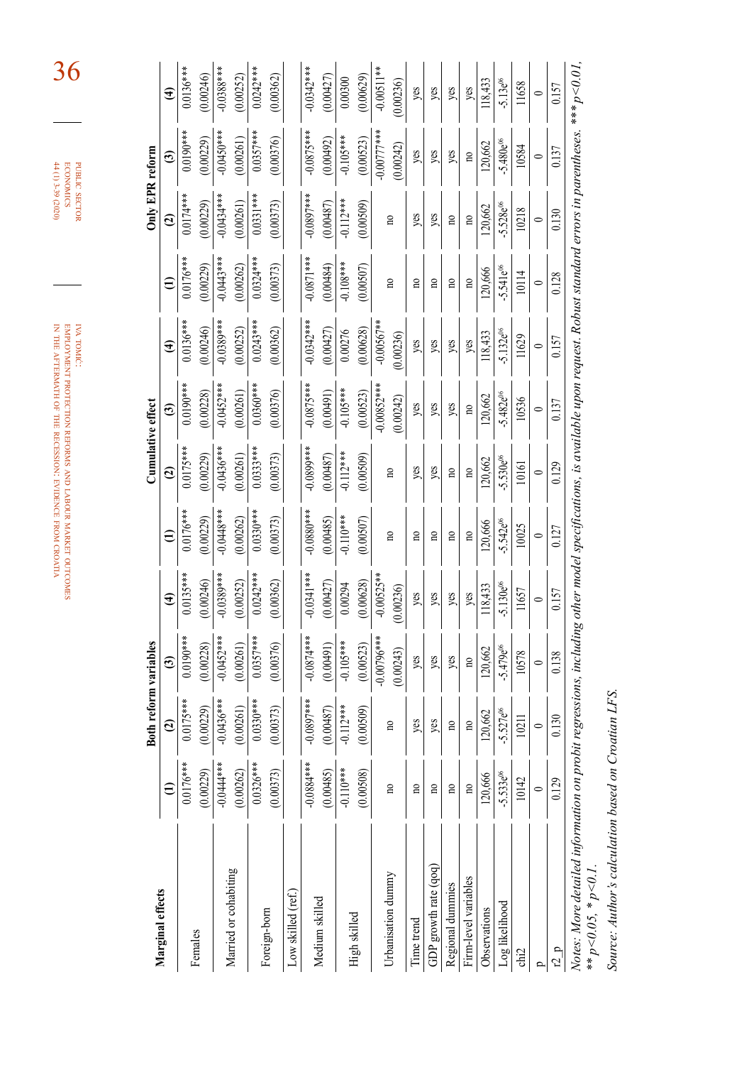|                                                |                          | Both reform variables |                        |                         | Cumulative effect        |                        |                        |                         | Only EPR reform          |                        |                        |
|------------------------------------------------|--------------------------|-----------------------|------------------------|-------------------------|--------------------------|------------------------|------------------------|-------------------------|--------------------------|------------------------|------------------------|
| Marginal effects                               | $\widehat{c}$            | ල                     | $\widehat{\mathbf{t}}$ | $\widehat{E}$           | $\widehat{c}$            | $\widehat{\mathbf{c}}$ | $\widehat{\mathbf{f}}$ | $\widehat{E}$           | $\widehat{c}$            | $\widehat{\mathbf{c}}$ | $\widehat{\mathbf{f}}$ |
| $0.0176***$<br>Females                         | $0.0175***$              | $0.0190***$           | $0.0135***$            | $0.0176***$             | $0.0175***$              | $0.0190***$            | $0.0136***$            | $0.0176***$             | $0.0174***$              | $0.0190***$            | $0.0136***$            |
| (0.00229)                                      | (0.00229)                | (0.00228)             | (0.00246)              | (0.00229)               | (0.00229)                | (0.00228)              | (0.00246)              | (0.00229)               | (0.00229)                | (0.00229)              | (0.00246)              |
| $-0.0444**$                                    | $-0.0436***$             | $-0.0452***$          | $-0.0389***$           | $-0.0448***$            | $-0.0436***$             | $-0.0452***$           | $-0.0389***$           | $-0.0443***$            | $-0.0434***$             | $-0.0450$ ***          | $-0.0388***$           |
| (0.00262)<br>Married or cohabiting             | (0.00261)                | (0.00261)             | (0.00252)              | (0.00262)               | (0.00261)                | (0.00261)              | (0.00252)              | (0.00262)               | (0.00261)                | (0.00261)              | (0.00252)              |
| $0.0326***$                                    | $0.0330***$              | $0.0357***$           | $0.0242***$            | $0.0330***$             | $0.0333***$              | $0.0360***$            | $0.0243***$            | $0.0324***$             | $0.0331***$              | $0.0357***$            | $0.0242***$            |
| (0.00373)<br>Foreign-born                      | (0.00373)                | (0.00376)             | (0.00362)              | (0.00373)               | (0.00373)                | (0.00376)              | (0.00362)              | (0.00373)               | (0.00373)                | (0.00376)              | (0.00362)              |
| Low skilled (ref.)                             |                          |                       |                        |                         |                          |                        |                        |                         |                          |                        |                        |
| $-0.0884***$                                   | $-0.0897***$             | $-0.0874***$          | $-0.0341***$           | $-0.0880**$             | +**6680.0                | $-0.0875***$           | $-0.0342***$           | $-0.0871$ ***           | $-0.0897$ ***            | $-0.0875***$           | $-0.0342***$           |
| (0.00485)<br>Medium skilled                    | (0.00487)                | (0.00491)             | (0.00427)              | (0.00485)               | (0.00487)                | (0.00491)              | (0.00427)              | (0.00484)               | (0.00487)                | (0.00492)              | (0.00427)              |
| $-0.110**$                                     | $-0.112***$              | $-0.105***$           | 0.00294                | $-0.110**$              | $-0.112***$              | $-0.105***$            | 0.00276                | $-0.108***$             | $-0.112***$              | $-0.105***$            | 0.00300                |
| (0.00508)<br>High skilled                      | (0.00509)                | (0.00523)             | (0.00628)              | (0.00507)               | (0.00509)                | (0.00523)              | (0.00628)              | (0.00507)               | (0.00509)                | (0.00523)              | (0.00629)              |
|                                                |                          | $-0.00796***$         | $-0.00525**$           |                         |                          | $-0.00852***$          | $-0.00567**$           |                         |                          | $-0.00777***$          | $-0.00511**$           |
| $\overline{10}$<br>Urbanisation dummy          | $\overline{\mathbf{n}}$  | (0.00243)             | (0.00236)              | $\mathbf{r}$            | $\mathbf{r}$             | (0.00242)              | (0.00236)              | $\mathbf{r}$            | $\overline{\mathbf{n}}$  | (0.00242)              | (0.00236)              |
| $\mathbf{n}$<br>Time trend                     | yes                      | yes                   | yes                    | $\overline{\mathbf{n}}$ | yes                      | yes                    | yes                    | $\mathbf{r}$            | yes                      | yes                    | yes                    |
| $\mathbf{n}$<br>GDP growth rate (qoq)          | yes                      | yes                   | yes                    | $\overline{\mathbf{n}}$ | yes                      | yes                    | yes                    | $\overline{\mathbf{n}}$ | yes                      | yes                    | yes                    |
| $\mathbf{n}$<br>Regional dummies               | $\overline{\mathbf{n}}$  | yes                   | yes                    | $\overline{10}$         | $\overline{\phantom{0}}$ | yes                    | yes                    | $\overline{\mathbf{n}}$ | $\overline{\phantom{0}}$ | yes                    | yes                    |
| $\mathbf{n}\mathbf{0}$<br>Firm-level variables | $\overline{\phantom{a}}$ | $\mathbf{p}$          | yes                    | $\overline{10}$         | $\overline{\phantom{0}}$ | $\mathbf{p}$           | yes                    | $\overline{10}$         | $\overline{10}$          | $\overline{10}$        | yes                    |
| 120,666<br>Observations                        | 120,662                  | 120,662               | 118,433                | 120,666                 | 120,662                  | 120,662                | 118,433                | 120,666                 | 120,662                  | 120,662                | 118,433                |
| $-5.533e^{06}$<br>Log likelihood               | $-5.527e^{06}$           | $-5.479e^{06}$        | $-5.130e^{06}$         | $-5.542e^{06}$          | $-5.530e^{06}$           | $-5.482e^{06}$         | $-5.132e^{06}$         | $-5.541e^{06}$          | $-5.528e^{06}$           | $-5.480e^{06}$         | $-5.13e^{06}$          |
| 10142<br>chi2                                  | 10211                    | 10578                 | 11657                  | 10025                   | 10161                    | 10536                  | 11629                  | 10114                   | 10218                    | 10584                  | 11658                  |
| $\circ$<br>Ω                                   | $\circ$                  | $\circ$               | $\circ$                | $\circ$                 | $\circ$                  | $\circ$                | $\circ$                | $\circ$                 | $\circ$                  | $\circ$                | $\circ$                |
| 0.129<br>r2p                                   | 0.130                    | 0.138                 | 0.157                  | 0.127                   | 0.129                    | 0.137                  | 0.157                  | 0.128                   | 0.130                    | 0.137                  | 0.157                  |

Source: Author's calculation based on Croatian LFS. *Source: Author's calculation based on Croatian LFS.*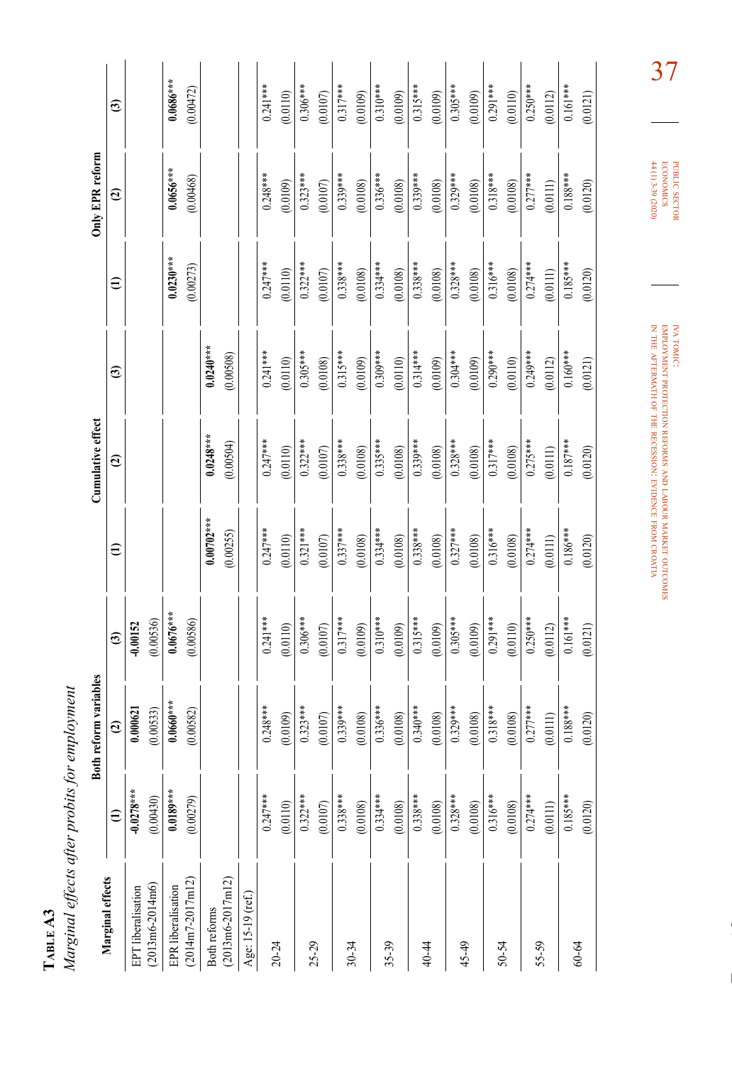| t. |  |
|----|--|
| ٠  |  |
| F  |  |

Marginal effects after probits for employment *Marginal effects after probits for employment* 

|                                     | <b>Both</b>  | reform variables |                        |               | Cumulative effect |                        |               | Only EPR reform |                        |
|-------------------------------------|--------------|------------------|------------------------|---------------|-------------------|------------------------|---------------|-----------------|------------------------|
| Marginal effects                    | €            | $\widehat{c}$    | $\widehat{\mathbf{c}}$ | $\widehat{z}$ | $\widehat{c}$     | $\widehat{\mathbf{c}}$ | $\widehat{=}$ | $\mathbf{c}$    | $\widehat{\mathbf{c}}$ |
| EPT liberalisation                  | $-0.0278***$ | 0.000621         | $-0.00152$             |               |                   |                        |               |                 |                        |
| $(2013 \text{m}6 - 2014 \text{m}6)$ | (0.00430)    | (0.00533)        | (0.00536)              |               |                   |                        |               |                 |                        |
| EPR liberalisation                  | $0.0189***$  | $0.0660***$      | $0.0676***$            |               |                   |                        | $0.0230***$   | $0.0656***$     | $0.0686***$            |
| $(2014m7 - 2017m12)$                | (0.00279)    | (0.00582)        | (0.00586)              |               |                   |                        | (0.00273)     | (0.00468)       | (0.00472)              |
| Both reforms                        |              |                  |                        | $0.00702***$  | $0.0248***$       | $0.0240***$            |               |                 |                        |
| $(2013m6-2017m12)$                  |              |                  |                        | (0.00255)     | (0.00504)         | (0.00508)              |               |                 |                        |
| Age: 15-19 (ref.)                   |              |                  |                        |               |                   |                        |               |                 |                        |
|                                     | $0.247***$   | $0.248***$       | $0.241***$             | $0.247***$    | $0.247***$        | $0.241***$             | $0.247***$    | $0.248***$      | $0.241***$             |
| $20 - 24$                           | (0.0110)     | (0.0109)         | (0.0110)               | (0.0110)      | (0.0110)          | (0.0110)               | (0.0110)      | (0.0109)        | (0.0110)               |
|                                     | $0.322***$   | $0.323***$       | $0.306***$             | $0.321***$    | $0.322***$        | $0.305***$             | $0.322***$    | $0.323***$      | $0.306***$             |
| 25-29                               | (0.0107)     | (0.0107)         | (0.0107)               | (0.0107)      | (0.0107)          | (0.0108)               | (0.0107)      | (0.0107)        | (0.0107)               |
| 30-34                               | $0.338***$   | $0.339***$       | $0.317***$             | $0.337***$    | $0.338***$        | $0.315***$             | $0.338***$    | $0.339***$      | $0.317***$             |
|                                     | (0.0108)     | (0.0108)         | (0.0109)               | (0.0108)      | (0.0108)          | (0.0109)               | (0.0108)      | (0.0108)        | (0.0109)               |
|                                     | $0.334***$   | $0.336***$       | $0.310***$             | $0.334***$    | $0.335***$        | $0.309***$             | $0.334***$    | $0.336***$      | $0.310***$             |
| 35-39                               | (0.0108)     | (0.0108)         | (0.0109)               | (0.0108)      | (0.0108)          | (0.0110)               | (0.0108)      | (0.0108)        | (0.0109)               |
| 40-44                               | $0.338***$   | $0.340***$       | $0.315***$             | $0.338***$    | $0.339***$        | $0.314***$             | $0.338***$    | $0.339***$      | $0.315***$             |
|                                     | (0.0108)     | (0.0108)         | (0.0109)               | (0.0108)      | (0.0108)          | (0.0109)               | (0.0108)      | (0.0108)        | (0.0109)               |
| 45-49                               | $0.328***$   | $0.329***$       | $0.305***$             | $0.327***$    | $0.328***$        | $0.304***$             | $0.328***$    | $0.329***$      | $0.305***$             |
|                                     | (0.0108)     | (0.0108)         | (0.0109)               | (0.0108)      | (0.0108)          | (0.0109)               | (0.0108)      | (0.0108)        | (0.0109)               |
| 50-54                               | $0.316***$   | $0.318***$       | $0.291***$             | $0.316***$    | $0.317***$        | $0.290***$             | $0.316***$    | $0.318***$      | $0.291***$             |
|                                     | (0.0108)     | (0.0108)         | (0.0110)               | (0.0108)      | (0.0108)          | (0.0110)               | (0.0108)      | (0.0108)        | (0.0110)               |
| 55-59                               | $0.274***$   | $0.277***$       | $0.250***$             | $0.274***$    | $0.275***$        | $0.249***$             | $0.274***$    | $0.277***$      | $0.250***$             |
|                                     | (0.0111)     | (0.0111)         | (0.0112)               | (0.0111)      | (0.0111)          | (0.0112)               | (0.0111)      | (0.0111)        | (0.0112)               |
| 60-64                               | $0.185***$   | $0.188***$       | $0.161***$             | $0.186***$    | $\frac{1}{187**}$ | $0.160***$             | $0.185***$    | $0.188***$      | $0.161***$             |
|                                     | (0.0120)     | (0.0120)         | (0.0121)               | (0.0120)      | (0.0120)          | (0.0121)               | (0.0120)      | (0.0120)        | (0.0121)               |
|                                     |              |                  |                        |               |                   |                        |               |                 |                        |

iva tomić: employment protection reforms and labour market in the aftermath of the recession: evidence from croatia

outcomes

37

public

**PUBLIC SECTOR**<br>ECONOMICS<br>44 (1) 3-39 (2020)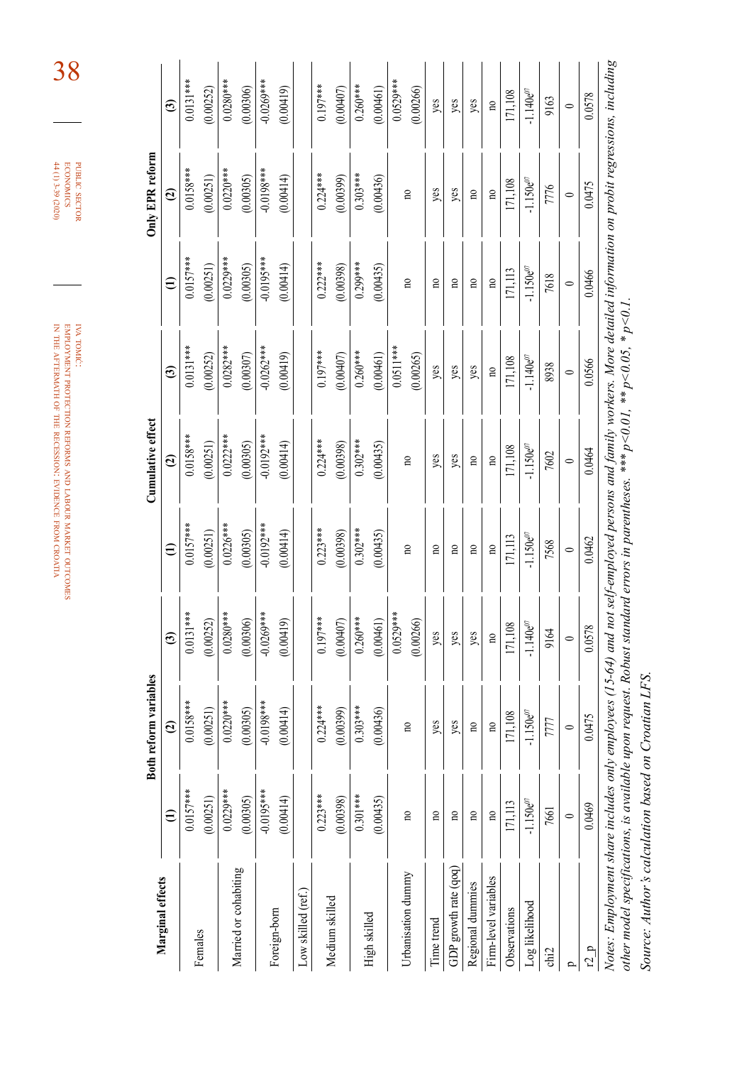| Marginal effects<br>Females | Botl                    | h reform variables |                        |                         | Cumulative effect       |                         |                 | Only EPR reform         |                         |
|-----------------------------|-------------------------|--------------------|------------------------|-------------------------|-------------------------|-------------------------|-----------------|-------------------------|-------------------------|
|                             | Ξ                       | $\mathbf{G}$       | $\widehat{\mathbf{c}}$ | $\oplus$                | $\mathbf{c}$            | $\widehat{\mathbf{c}}$  | $\widehat{\Xi}$ | $\mathfrak{D}$          | $\widehat{\mathbf{c}}$  |
|                             | $0.0157***$             | $0.0158***$        | $0.0131***$            | $0.0157***$             | $0.0158***$             | $0.0131***$             | $0.0157***$     | $0.0158***$             | $0.0131***$             |
|                             | (0.00251)               | (0.00251)          | (0.00252)              | (0.00251)               | (0.00251)               | (0.00252)               | (0.00251)       | (0.00251)               | (0.00252)               |
|                             | $0.0229***$             | $0.0220***$        | $0.0280***$            | $0.0226***$             | $0.0222***$             | $0.0282***$             | $0.0229***$     | $0.0220***$             | $0.0280***$             |
| Married or cohabiting       | (0.00305)               | (0.00305)          | (0.00306)              | (0.00305)               | (0.00305)               | (0.00307)               | (0.00305)       | (0.00305)               | (0.00306)               |
|                             | $-0.0195***$            | $-0.0198***$       | $-0.0269***$           | $-0.0192***$            | $-0.0192***$            | $-0.0262***$            | -0.0195***      | $-0.0198***$            | $-0.0269***$            |
| Foreign-born                | (0.00414)               | (0.00414)          | (0.00419)              | (0.00414)               | (0.00414)               | (0.00419)               | (0.00414)       | (0.00414)               | (0.00419)               |
| Low skilled (ref.)          |                         |                    |                        |                         |                         |                         |                 |                         |                         |
|                             | $0.223***$              | $0.224***$         | $0.197***$             | $0.223***$              | $0.224***$              | $0.197***$              | $0.222***$      | $0.224***$              | $0.197***$              |
| Medium skilled              | (0.00398)               | (0.00399)          | (0.00407)              | (0.00398)               | (0.00398)               | (0.00407)               | (0.00398)       | (0.00399)               | (0.00407)               |
|                             | $0.301***$              | $0.303***$         | $0.260***$             | $0.302***$              | $0.302***$              | $0.260***$              | $0.299***$      | $0.303***$              | $0.260***$              |
| High skilled                | (0.00435)               | (0.00436)          | (0.00461)              | (0.00435)               | (0.00435)               | (0.00461)               | (0.00435)       | (0.00436)               | (0.00461)               |
|                             |                         |                    | $0.0529***$            |                         |                         | $0.0511***$             |                 |                         | $0.0529***$             |
| Urbanisation dummy          | $\mathbf{a}$            | no                 | (0.00266)              | $\overline{10}$         | $\overline{10}$         | (0.00265)               | g               | $\overline{10}$         | (0.00266)               |
| Time trend                  | $\mathbf{r}$            | yes                | yes                    | $\overline{n}$          | yes                     | yes                     | g               | yes                     | yes                     |
| GDP growth rate (qoq)       | $\overline{10}$         | yes                | yes                    | $\overline{10}$         | yes                     | yes                     | g               | yes                     | yes                     |
| Regional dummies            | $\overline{\mathbf{n}}$ | $\overline{10}$    | yes                    | $\mathbf{n}$            | $\overline{10}$         | yes                     | S               | $\mathbf{n}$            | yes                     |
| Firm-level variables        | $\overline{10}$         | $\mathbf{a}$       | $\mathbf{R}$           | $\overline{\mathbf{n}}$ | $\overline{\mathbf{n}}$ | $\overline{\mathbf{a}}$ | $\mathbf{R}$    | $\overline{\mathbf{n}}$ | $\overline{\mathbf{n}}$ |
| Observations                | 171,113                 | 171,108            | 171,108                | 171,113                 | 171,108                 | 171,108                 | 171,113         | 171,108                 | 171,108                 |
| Log likelihood              | $-1.150e^{07}$          | $-1.150e^{07}$     | $-1.140e^{07}$         | $-1.150e^{07}$          | $-1.150e^{07}$          | $-1.140e^{07}$          | $-1.150e^{07}$  | $-1.150e^{07}$          | $-1.140e^{07}$          |
| chi2                        | 7661                    | 7777               | 9164                   | 7568                    | 7602                    | 8938                    | 7618            | 7776                    | 9163                    |
| $\mathbf{D}$                | $\circ$                 | $\circ$            | $\circ$                | $\circ$                 | $\circ$                 | $\circ$                 | $\circ$         | $\circ$                 | $\circ$                 |
| r2p                         | 0.0469                  | 0.0475             | 0.0578                 | 0.0462                  | 0.0464                  | 0.0566                  | 0.0466          | 0.0475                  | 0.0578                  |

other model specifications, is available upon request. Robust standard errors in parentheses. \*\*\*  $p<0.01$ , \*\*  $p<0.05$ , \*  $p<0.1$ . *other model specifications, is available upon request. Robust standard errors in parentheses. \*\*\* p<0.01, \*\* p<0.05, \* p<0.1.*

Source: Author's calculation based on Croatian LFS. *Source: Author's calculation based on Croatian LFS.*

iva tomić: employment protection reforms and labour in the aftermath of the the recession: evidence

market

from croatia

outcomes

38

public

**PUBLIC SECTOR**<br>ECONOMICS<br>H(1) 3-39 (2020)